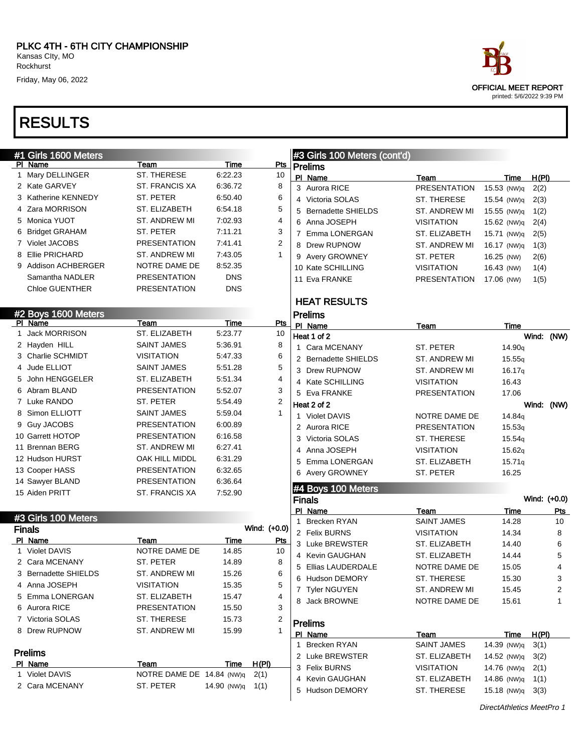| #1 Girls 1600 Meters  |                           |             |                | #3 Girls 100 Meters (cont'd) |                     |                           |              |
|-----------------------|---------------------------|-------------|----------------|------------------------------|---------------------|---------------------------|--------------|
| <b>PI Name</b>        | Team                      | Time        | <b>Pts</b>     | Prelims                      |                     |                           |              |
| 1 Mary DELLINGER      | ST. THERESE               | 6:22.23     | 10             | PI Name                      | Team                | Time                      | H(PI)        |
| 2 Kate GARVEY         | ST. FRANCIS XA            | 6:36.72     | 8              | 3 Aurora RICE                | <b>PRESENTATION</b> | 15.53 (NW)q               | 2(2)         |
| 3 Katherine KENNEDY   | <b>ST. PETER</b>          | 6:50.40     | 6              | 4 Victoria SOLAS             | ST. THERESE         | 15.54 (NW)q               | 2(3)         |
| 4 Zara MORRISON       | ST. ELIZABETH             | 6:54.18     | 5              | 5 Bernadette SHIELDS         | ST. ANDREW MI       | 15.55 (NW)q               | 1(2)         |
| 5 Monica YUOT         | ST. ANDREW MI             | 7:02.93     | 4              | 6 Anna JOSEPH                | <b>VISITATION</b>   | 15.62 (NW)q               | 2(4)         |
| 6 Bridget GRAHAM      | ST. PETER                 | 7:11.21     | 3              | 7 Emma LONERGAN              | ST. ELIZABETH       | 15.71 (NW)q               | 2(5)         |
| 7 Violet JACOBS       | <b>PRESENTATION</b>       | 7.41.41     | $\overline{2}$ | 8 Drew RUPNOW                | ST. ANDREW MI       | 16.17 (NW)q               | 1(3)         |
| 8 Ellie PRICHARD      | ST. ANDREW MI             | 7:43.05     | $\mathbf{1}$   | 9 Avery GROWNEY              | ST. PETER           | 16.25 (NW)                | 2(6)         |
| 9 Addison ACHBERGER   | NOTRE DAME DE             | 8:52.35     |                | 10 Kate SCHILLING            | <b>VISITATION</b>   | 16.43 (NW)                | 1(4)         |
| Samantha NADLER       | <b>PRESENTATION</b>       | <b>DNS</b>  |                | 11 Eva FRANKE                | <b>PRESENTATION</b> | 17.06 (NW)                | 1(5)         |
| <b>Chloe GUENTHER</b> | <b>PRESENTATION</b>       | <b>DNS</b>  |                |                              |                     |                           |              |
|                       |                           |             |                | <b>HEAT RESULTS</b>          |                     |                           |              |
| #2 Boys 1600 Meters   |                           |             |                | <b>Prelims</b>               |                     |                           |              |
| PI Name               | Team                      | Time        | <b>Pts</b>     | PI Name                      | Team                | Time                      |              |
| 1 Jack MORRISON       | ST. ELIZABETH             | 5:23.77     | 10             | Heat 1 of 2                  |                     |                           | Wind: (NW)   |
| 2 Hayden HILL         | SAINT JAMES               | 5:36.91     | 8              | 1 Cara MCENANY               | ST. PETER           | 14.90q                    |              |
| 3 Charlie SCHMIDT     | <b>VISITATION</b>         | 5:47.33     | 6              | 2 Bernadette SHIELDS         | ST. ANDREW MI       | 15.55q                    |              |
| 4 Jude ELLIOT         | SAINT JAMES               | 5:51.28     | 5              | 3 Drew RUPNOW                | ST. ANDREW MI       | 16.17q                    |              |
| 5 John HENGGELER      | ST. ELIZABETH             | 5:51.34     | 4              | 4 Kate SCHILLING             | <b>VISITATION</b>   | 16.43                     |              |
| 6 Abram BLAND         | <b>PRESENTATION</b>       | 5:52.07     | 3              | 5 Eva FRANKE                 | <b>PRESENTATION</b> | 17.06                     |              |
| 7 Luke RANDO          | ST. PETER                 | 5:54.49     | $\overline{2}$ | Heat 2 of 2                  |                     |                           | Wind: (NW)   |
| 8 Simon ELLIOTT       | SAINT JAMES               | 5:59.04     | $\mathbf{1}$   | 1 Violet DAVIS               | NOTRE DAME DE       | 14.84q                    |              |
| 9 Guy JACOBS          | <b>PRESENTATION</b>       | 6:00.89     |                | 2 Aurora RICE                | <b>PRESENTATION</b> | 15.53q                    |              |
| 10 Garrett HOTOP      | <b>PRESENTATION</b>       | 6:16.58     |                | 3 Victoria SOLAS             | ST. THERESE         | 15.54g                    |              |
| 11 Brennan BERG       | ST. ANDREW MI             | 6.27.41     |                | 4 Anna JOSEPH                | <b>VISITATION</b>   | 15.62q                    |              |
| 12 Hudson HURST       | OAK HILL MIDDL            | 6:31.29     |                | Emma LONERGAN<br>5           | ST. ELIZABETH       | 15.71q                    |              |
| 13 Cooper HASS        | <b>PRESENTATION</b>       | 6:32.65     |                | 6 Avery GROWNEY              | ST. PETER           | 16.25                     |              |
| 14 Sawyer BLAND       | <b>PRESENTATION</b>       | 6:36.64     |                |                              |                     |                           |              |
| 15 Aiden PRITT        | ST. FRANCIS XA            | 7:52.90     |                | #4 Boys 100 Meters           |                     |                           |              |
|                       |                           |             |                | <b>Finals</b>                |                     |                           | Wind: (+0.0) |
| #3 Girls 100 Meters   |                           |             |                | PI Name                      | Team                | Time                      | <u>Pts</u>   |
| <b>Finals</b>         |                           |             | Wind: (+0.0)   | 1 Brecken RYAN               | <b>SAINT JAMES</b>  | 14.28                     | 10           |
| PI Name               | Team                      | Time        | <u>Pts</u>     | 2 Felix BURNS                | <b>VISITATION</b>   | 14.34                     | 8            |
| 1 Violet DAVIS        | NOTRE DAME DE             | 14.85       | 10             | 3 Luke BREWSTER              | ST. ELIZABETH       | 14.40                     | 6            |
| 2 Cara MCENANY        | ST. PETER                 | 14.89       | 8              | 4 Kevin GAUGHAN              | ST. ELIZABETH       | 14.44                     | 5            |
| 3 Bernadette SHIELDS  | ST. ANDREW MI             | 15.26       | 6              | 5<br>Ellias LAUDERDALE       | NOTRE DAME DE       | 15.05                     | 4            |
| 4 Anna JOSEPH         | <b>VISITATION</b>         | 15.35       | 5              | 6 Hudson DEMORY              | ST. THERESE         | 15.30                     | 3            |
| 5 Emma LONERGAN       | ST. ELIZABETH             | 15.47       | 4              | 7 Tyler NGUYEN               | ST. ANDREW MI       | 15.45                     | 2            |
| 6 Aurora RICE         | <b>PRESENTATION</b>       | 15.50       | 3              | 8 Jack BROWNE                | NOTRE DAME DE       | 15.61                     | 1            |
| 7 Victoria SOLAS      | ST. THERESE               | 15.73       | 2              |                              |                     |                           |              |
| 8 Drew RUPNOW         | ST. ANDREW MI             | 15.99       | 1              | <b>Prelims</b>               |                     |                           |              |
|                       |                           |             |                | PI Name                      | Team                | Time                      | H(PI)        |
| <b>Prelims</b>        |                           |             |                | 1 Brecken RYAN               | <b>SAINT JAMES</b>  | 14.39 (NW)q               | 3(1)         |
| PI Name               | Team                      | Time        | H(PI)          | 2 Luke BREWSTER              | ST. ELIZABETH       | 14.52 (NW)q               | 3(2)         |
| 1 Violet DAVIS        | NOTRE DAME DE 14.84 (NW)q |             | 2(1)           | 3 Felix BURNS                | <b>VISITATION</b>   | 14.76 (NW)q               | 2(1)         |
| 2 Cara MCENANY        | ST. PETER                 | 14.90 (NW)q | 1(1)           | 4 Kevin GAUGHAN              | ST. ELIZABETH       | 14.86 (NW)q               | 1(1)         |
|                       |                           |             |                | 5 Hudson DEMORY              | ST. THERESE         | 15.18 (NW)q               | 3(3)         |
|                       |                           |             |                |                              |                     | DirectAthletics MeetPro 1 |              |



DirectAthletics MeetPro 1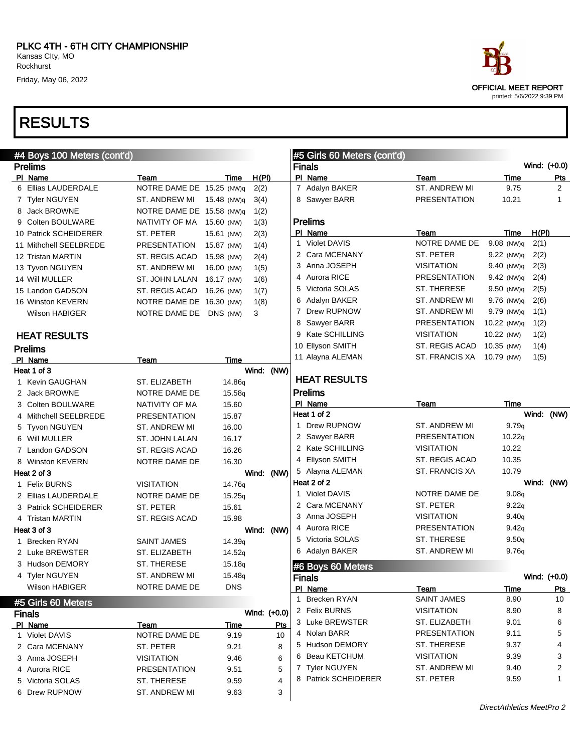| #4 Boys 100 Meters (cont'd) |                           |                    |              |      |   | #5 Girls 60 Meters (cont'd) |                      |              |       |                |
|-----------------------------|---------------------------|--------------------|--------------|------|---|-----------------------------|----------------------|--------------|-------|----------------|
| <b>Prelims</b>              |                           |                    |              |      |   | <b>Finals</b>               |                      |              |       | Wind: (+0.0)   |
| PI Name                     | Team                      | Time               | H(PI)        |      |   | PI Name                     | Team                 | Time         |       | <u>Pts</u>     |
| 6 Ellias LAUDERDALE         | NOTRE DAME DE 15.25 (NW)q |                    | 2(2)         |      |   | 7 Adalyn BAKER              | ST. ANDREW MI        | 9.75         |       | $\overline{2}$ |
| 7 Tyler NGUYEN              | ST. ANDREW MI             | 15.48 (NW)q        | 3(4)         |      |   | 8 Sawyer BARR               | <b>PRESENTATION</b>  | 10.21        |       | 1              |
| 8 Jack BROWNE               | NOTRE DAME DE 15.58 (NW)q |                    | 1(2)         |      |   |                             |                      |              |       |                |
| 9 Colten BOULWARE           | NATIVITY OF MA            | 15.60 (NW)         | 1(3)         |      |   | <b>Prelims</b>              |                      |              |       |                |
| 10 Patrick SCHEIDERER       | ST. PETER                 | 15.61 (NW)         | 2(3)         |      |   | PI Name                     | Team                 | Time         | H(PI) |                |
| 11 Mithchell SEELBREDE      | <b>PRESENTATION</b>       | 15.87 (NW)         | 1(4)         |      |   | 1 Violet DAVIS              | NOTRE DAME DE        | $9.08$ (NW)q | 2(1)  |                |
| 12 Tristan MARTIN           | ST. REGIS ACAD            | 15.98 (NW)         | 2(4)         |      |   | 2 Cara MCENANY              | ST. PETER            | $9.22$ (NW)q | 2(2)  |                |
| 13 Tyvon NGUYEN             | ST. ANDREW MI             | 16.00 (NW)         | 1(5)         |      |   | 3 Anna JOSEPH               | <b>VISITATION</b>    | 9.40 (NW)q   | 2(3)  |                |
| 14 Will MULLER              | ST. JOHN LALAN            | 16.17 (NW)         | 1(6)         |      |   | 4 Aurora RICE               | <b>PRESENTATION</b>  | $9.42$ (NW)q | 2(4)  |                |
| 15 Landon GADSON            | ST. REGIS ACAD            | 16.26 (NW)         | 1(7)         |      | 5 | Victoria SOLAS              | <b>ST. THERESE</b>   | 9.50 (NW)q   | 2(5)  |                |
| 16 Winston KEVERN           | NOTRE DAME DE 16.30 (NW)  |                    | 1(8)         |      | 6 | Adalyn BAKER                | ST. ANDREW MI        | $9.76$ (NW)q | 2(6)  |                |
| Wilson HABIGER              | NOTRE DAME DE             | DNS (NW)           | 3            |      |   | 7 Drew RUPNOW               | ST. ANDREW MI        | $9.79$ (NW)q | 1(1)  |                |
|                             |                           |                    |              |      |   | 8 Sawyer BARR               | <b>PRESENTATION</b>  | 10.22 (NW)q  | 1(2)  |                |
| <b>HEAT RESULTS</b>         |                           |                    |              |      |   | 9 Kate SCHILLING            | <b>VISITATION</b>    | 10.22 (NW)   | 1(2)  |                |
| <b>Prelims</b>              |                           |                    |              |      |   | 10 Ellyson SMITH            | ST. REGIS ACAD       | 10.35 (NW)   | 1(4)  |                |
| PI Name                     | Team                      | Time               |              |      |   | 11 Alayna ALEMAN            | ST. FRANCIS XA       | 10.79 (NW)   | 1(5)  |                |
| Heat 1 of 3                 |                           |                    | Wind: (NW)   |      |   |                             |                      |              |       |                |
| 1 Kevin GAUGHAN             | ST. ELIZABETH             | 14.86 <sub>q</sub> |              |      |   | <b>HEAT RESULTS</b>         |                      |              |       |                |
| 2 Jack BROWNE               | NOTRE DAME DE             | 15.58q             |              |      |   | <b>Prelims</b>              |                      |              |       |                |
| 3 Colten BOULWARE           | NATIVITY OF MA            | 15.60              |              |      |   | PI Name                     | Team                 | Time         |       |                |
| 4 Mithchell SEELBREDE       | <b>PRESENTATION</b>       | 15.87              |              |      |   | Heat 1 of 2                 |                      |              | Wind: | (NW)           |
| 5 Tyvon NGUYEN              | ST. ANDREW MI             | 16.00              |              |      |   | 1 Drew RUPNOW               | ST. ANDREW MI        | 9.79q        |       |                |
| 6 Will MULLER               | ST. JOHN LALAN            | 16.17              |              |      |   | 2 Sawyer BARR               | <b>PRESENTATION</b>  | 10.22q       |       |                |
| 7 Landon GADSON             | ST. REGIS ACAD            | 16.26              |              |      |   | 2 Kate SCHILLING            | <b>VISITATION</b>    | 10.22        |       |                |
| 8 Winston KEVERN            | NOTRE DAME DE             | 16.30              |              |      |   | 4 Ellyson SMITH             | ST. REGIS ACAD       | 10.35        |       |                |
| Heat 2 of 3                 |                           |                    | Wind:        | (NW) |   | 5 Alayna ALEMAN             | ST. FRANCIS XA       | 10.79        |       |                |
| 1 Felix BURNS               | <b>VISITATION</b>         | 14.76 <sub>q</sub> |              |      |   | Heat 2 of 2                 |                      |              | Wind: | (NW)           |
| 2 Ellias LAUDERDALE         | NOTRE DAME DE             | 15.25q             |              |      |   | 1 Violet DAVIS              | NOTRE DAME DE        | 9.08q        |       |                |
| 3 Patrick SCHEIDERER        | ST. PETER                 | 15.61              |              |      |   | 2 Cara MCENANY              | ST. PETER            | 9.22q        |       |                |
| 4 Tristan MARTIN            | ST. REGIS ACAD            | 15.98              |              |      |   | 3 Anna JOSEPH               | <b>VISITATION</b>    | 9.40q        |       |                |
| Heat 3 of 3                 |                           |                    | Wind: (NW)   |      |   | 4 Aurora RICE               | <b>PRESENTATION</b>  | 9.42q        |       |                |
| 1 Brecken RYAN              | <b>SAINT JAMES</b>        | 14.39 <sub>q</sub> |              |      |   | 5 Victoria SOLAS            | <b>ST. THERESE</b>   | 9.50q        |       |                |
| 2 Luke BREWSTER             | ST. ELIZABETH             | 14.52q             |              |      |   | 6 Adalyn BAKER              | <b>ST. ANDREW MI</b> | 9.76q        |       |                |
| 3 Hudson DEMORY             | ST. THERESE               | 15.18q             |              |      |   |                             |                      |              |       |                |
| 4 Tyler NGUYEN              | ST. ANDREW MI             | 15.48 <sub>q</sub> |              |      |   | #6 Boys 60 Meters           |                      |              |       |                |
| <b>Wilson HABIGER</b>       | NOTRE DAME DE             | <b>DNS</b>         |              |      |   | <b>Finals</b>               |                      |              |       | Wind: (+0.0)   |
|                             |                           |                    |              |      |   | PI Name                     | <b>Team</b>          | Time         |       | <u>Pts</u>     |
| #5 Girls 60 Meters          |                           |                    |              |      |   | 1 Brecken RYAN              | <b>SAINT JAMES</b>   | 8.90         |       | 10             |
| <b>Finals</b>               |                           |                    | Wind: (+0.0) |      |   | 2 Felix BURNS               | <b>VISITATION</b>    | 8.90         |       | 8              |
| PI Name                     | Team                      | <u>Time</u>        |              | Pts  |   | 3 Luke BREWSTER             | ST. ELIZABETH        | 9.01         |       | 6              |
| 1 Violet DAVIS              | NOTRE DAME DE             | 9.19               |              | 10   |   | 4 Nolan BARR                | <b>PRESENTATION</b>  | 9.11         |       | 5              |
| 2 Cara MCENANY              | ST. PETER                 | 9.21               |              | 8    |   | 5 Hudson DEMORY             | ST. THERESE          | 9.37         |       | 4              |
| 3 Anna JOSEPH               | <b>VISITATION</b>         | 9.46               |              | 6    |   | 6 Beau KETCHUM              | <b>VISITATION</b>    | 9.39         |       | 3              |
| 4 Aurora RICE               | <b>PRESENTATION</b>       | 9.51               |              | 5    |   | 7 Tyler NGUYEN              | ST. ANDREW MI        | 9.40         |       | 2              |
| 5 Victoria SOLAS            | ST. THERESE               | 9.59               |              | 4    |   | 8 Patrick SCHEIDERER        | ST. PETER            | 9.59         |       | 1              |
| 6 Drew RUPNOW               | ST. ANDREW MI             | 9.63               |              | 3    |   |                             |                      |              |       |                |
|                             |                           |                    |              |      |   |                             |                      |              |       |                |



DirectAthletics MeetPro 2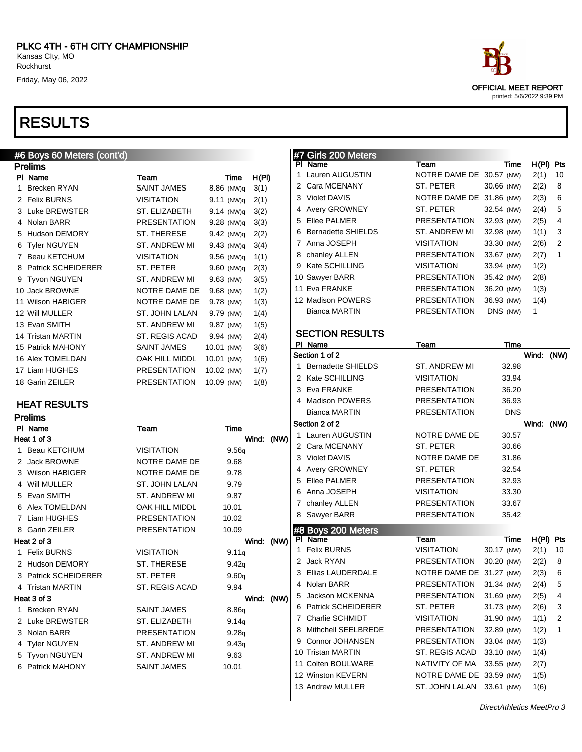

#### #6 Boys 60 Meters (cont'd) Prelims PI Name Team Team Team Time H(PI) 1 Brecken RYAN SAINT JAMES 8.86 (NW)q 3(1) 2 Felix BURNS VISITATION 9.11 (NW)q 2(1) 3 Luke BREWSTER ST. ELIZABETH 9.14 (NW)q 3(2) 4 Nolan BARR PRESENTATION 9.28 (NW)q 3(3) 5 Hudson DEMORY ST. THERESE 9.42 (NW)q 2(2) 6 Tyler NGUYEN ST. ANDREW MI 9.43 (NW)q 3(4) 7 Beau KETCHUM VISITATION 9.56 (NW)q 1(1) 8 Patrick SCHEIDERER ST. PETER 9.60 (NW)q 2(3) 9 Tyvon NGUYEN ST. ANDREW MI 9.63 (NW) 3(5) 10 Jack BROWNE NOTRE DAME DE 9.68 (NW) 1(2) 11 Wilson HABIGER NOTRE DAME DE 9.78 (NW) 1(3) 12 Will MULLER ST. JOHN LALAN 9.79 (NW) 1(4) 13 Evan SMITH ST. ANDREW MI 9.87 (NW) 1(5) 14 Tristan MARTIN ST. REGIS ACAD 9.94 (NW) 2(4) 15 Patrick MAHONY SAINT JAMES 10.01 (NW) 3(6) 16 Alex TOMELDAN OAK HILL MIDDL 10.01 (NW) 1(6) 17 Liam HUGHES PRESENTATION 10.02 (NW) 1(7) 18 Garin ZEILER PRESENTATION 10.09 (NW) 1(8) HEAT RESULTS Prelims PI Name Team Team Time Heat 1 of 3 Wind: (NW) 1 Beau KETCHUM VISITATION 9.56q 2 Jack BROWNE NOTRE DAME DE 9.68 3 Wilson HABIGER NOTRE DAME DE 9.78 4 Will MULLER ST. JOHN LALAN 9.79 5 Evan SMITH ST. ANDREW MI 9.87 6 Alex TOMELDAN **OAK HILL MIDDL** 10.01 7 Liam HUGHES PRESENTATION 10.02 8 Garin ZEILER PRESENTATION 10.09 Heat 2 of 3 Wind: (NW) 1 Felix BURNS VISITATION 9.11q 2 Hudson DEMORY ST. THERESE 9.42q 3 Patrick SCHEIDERER ST. PETER 9.60q 4 Tristan MARTIN ST. REGIS ACAD 9.94 Heat 3 of 3 Wind: (NW) 1 Brecken RYAN SAINT JAMES 8.86q 2 Luke BREWSTER ST. ELIZABETH 9.14q 3 Nolan BARR PRESENTATION 9.28q 4 Tyler NGUYEN ST. ANDREW MI 9.43q 5 Tyvon NGUYEN ST. ANDREW MI 9.63 6 Patrick MAHONY SAINT JAMES 10.01 #7 Girls 200 Meters PI Name Team Team Time H(PI) Pts 1 Lauren AUGUSTIN NOTRE DAME DE 30.57 (NW) 2(1) 10 2 Cara MCENANY ST. PETER 30.66 (NW) 2(2) 8 3 Violet DAVIS NOTRE DAME DE 31.86 (NW) 2(3) 6 4 Avery GROWNEY ST. PETER 32.54 (NW) 2(4) 5 5 Ellee PALMER PRESENTATION 32.93 (NW) 2(5) 4 6 Bernadette SHIELDS ST. ANDREW MI 32.98 (NW) 1(1) 3 7 Anna JOSEPH VISITATION 33.30 (NW) 2(6) 2 8 chanley ALLEN PRESENTATION 33.67 (NW) 2(7) 1 9 Kate SCHILLING VISITATION 33.94 (NW) 1(2) 10 Sawyer BARR PRESENTATION 35.42 (NW) 2(8) 11 Eva FRANKE PRESENTATION 36.20 (NW) 1(3) 12 Madison POWERS PRESENTATION 36.93 (NW) 1(4) Bianca MARTIN PRESENTATION DNS (NW) 1 SECTION RESULTS PI Name Team Team Time Section 1 of 2 Wind: (NW) 1 Bernadette SHIELDS ST. ANDREW MI 32.98 2 Kate SCHILLING VISITATION 33.94 3 Eva FRANKE PRESENTATION 36.20 4 Madison POWERS PRESENTATION 36.93 Bianca MARTIN PRESENTATION DNS Section 2 of 2 Wind: (NW) 1 Lauren AUGUSTIN NOTRE DAME DE 30.57 2 Cara MCENANY ST. PETER 30.66 3 Violet DAVIS NOTRE DAME DE 31.86 4 Avery GROWNEY ST. PETER 32.54 5 Ellee PALMER PRESENTATION 32.93 6 Anna JOSEPH VISITATION 33.30 7 chanley ALLEN PRESENTATION 33.67 8 Sawyer BARR PRESENTATION 35.42 #8 Boys 200 Meters<br>PL Name Team Time H(PI) Pts 1 Felix BURNS VISITATION 30.17 (NW) 2(1) 10 2 Jack RYAN PRESENTATION 30.20 (NW) 2(2) 8 3 Ellias LAUDERDALE NOTRE DAME DE 31.27 (NW) 2(3) 6 4 Nolan BARR PRESENTATION 31.34 (NW) 2(4) 5 5 Jackson MCKENNA PRESENTATION 31.69 (NW) 2(5) 4 6 Patrick SCHEIDERER ST. PETER 31.73 (NW) 2(6) 3 7 Charlie SCHMIDT VISITATION 31.90 (NW) 1(1) 2 8 Mithchell SEELBREDE PRESENTATION 32.89 (NW) 1(2) 1 9 Connor JOHANSEN PRESENTATION 33.04 (NW) 1(3) 10 Tristan MARTIN ST. REGIS ACAD 33.10 (NW) 1(4) 11 Colten BOULWARE NATIVITY OF MA 33.55 (NW) 2(7) 12 Winston KEVERN NOTRE DAME DE 33.59 (NW) 1(5) 13 Andrew MULLER ST. JOHN LALAN 33.61 (NW) 1(6)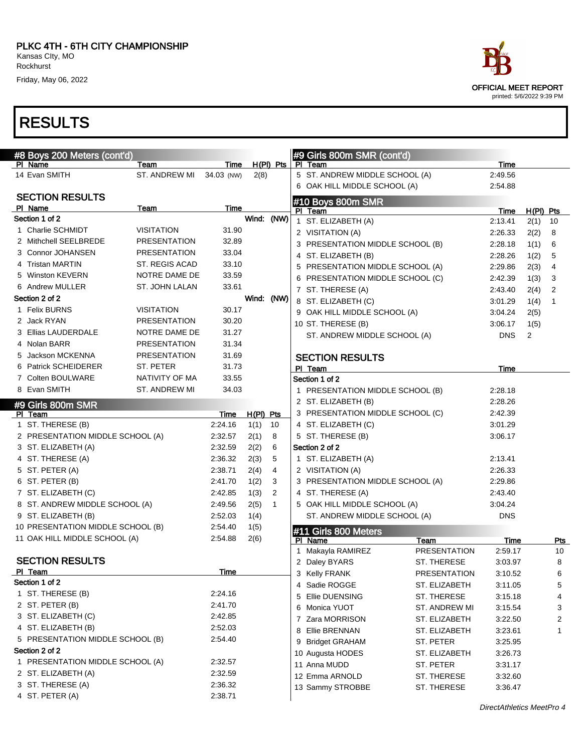

| #8 Boys 200 Meters (cont'd)       |                     |                 |                     |              | #9 Girls 800m SMR (cont'd)       |                     |                           |             |              |
|-----------------------------------|---------------------|-----------------|---------------------|--------------|----------------------------------|---------------------|---------------------------|-------------|--------------|
| PI Name                           | Team                | Time            |                     | $H(PI)$ Pts  | PI Team                          |                     | Time                      |             |              |
| 14 Evan SMITH                     | ST. ANDREW MI       | 34.03 (NW)      | 2(8)                |              | 5 ST. ANDREW MIDDLE SCHOOL (A)   |                     | 2:49.56                   |             |              |
|                                   |                     |                 |                     |              | 6 OAK HILL MIDDLE SCHOOL (A)     |                     | 2:54.88                   |             |              |
| <b>SECTION RESULTS</b>            |                     |                 |                     |              | #10 Boys 800m SMR                |                     |                           |             |              |
| PI Name<br>Section 1 of 2         | Team                | Time            |                     |              | PI Team                          |                     | Time                      | $H(PI)$ Pts |              |
| 1 Charlie SCHMIDT                 | <b>VISITATION</b>   | 31.90           | Wind: (NW)          |              | 1 ST. ELIZABETH (A)              |                     | 2:13.41                   | 2(1)        | - 10         |
| 2 Mithchell SEELBREDE             | <b>PRESENTATION</b> | 32.89           |                     |              | 2 VISITATION (A)                 |                     | 2:26.33                   | 2(2)        | 8            |
| 3 Connor JOHANSEN                 | PRESENTATION        | 33.04           |                     |              | 3 PRESENTATION MIDDLE SCHOOL (B) |                     | 2:28.18                   | 1(1)        | 6            |
| 4 Tristan MARTIN                  | ST. REGIS ACAD      | 33.10           |                     |              | 4 ST. ELIZABETH (B)              |                     | 2:28.26                   | 1(2)        | 5            |
| 5 Winston KEVERN                  | NOTRE DAME DE       | 33.59           |                     |              | 5 PRESENTATION MIDDLE SCHOOL (A) |                     | 2:29.86                   | 2(3)        | 4            |
| 6 Andrew MULLER                   | ST. JOHN LALAN      | 33.61           |                     |              | 6 PRESENTATION MIDDLE SCHOOL (C) |                     | 2:42.39                   | 1(3)        | 3            |
| Section 2 of 2                    |                     |                 | Wind: (NW)          |              | 7 ST. THERESE (A)                |                     | 2:43.40                   | 2(4)        | 2            |
| 1 Felix BURNS                     | <b>VISITATION</b>   | 30.17           |                     |              | 8 ST. ELIZABETH (C)              |                     | 3:01.29                   | 1(4)        | $\mathbf{1}$ |
| 2 Jack RYAN                       | <b>PRESENTATION</b> | 30.20           |                     |              | 9 OAK HILL MIDDLE SCHOOL (A)     |                     | 3:04.24                   | 2(5)        |              |
| 3 Ellias LAUDERDALE               | NOTRE DAME DE       | 31.27           |                     |              | 10 ST. THERESE (B)               |                     | 3:06.17                   | 1(5)        |              |
| 4 Nolan BARR                      | <b>PRESENTATION</b> | 31.34           |                     |              | ST. ANDREW MIDDLE SCHOOL (A)     |                     | <b>DNS</b>                | 2           |              |
| 5 Jackson MCKENNA                 | <b>PRESENTATION</b> | 31.69           |                     |              |                                  |                     |                           |             |              |
| 6 Patrick SCHEIDERER              | ST. PETER           | 31.73           |                     |              | <b>SECTION RESULTS</b>           |                     |                           |             |              |
| 7 Colten BOULWARE                 | NATIVITY OF MA      | 33.55           |                     |              | PI Team<br>Section 1 of 2        |                     | Time                      |             |              |
| 8 Evan SMITH                      | ST. ANDREW MI       | 34.03           |                     |              | 1 PRESENTATION MIDDLE SCHOOL (B) |                     | 2:28.18                   |             |              |
|                                   |                     |                 |                     |              | 2 ST. ELIZABETH (B)              |                     | 2:28.26                   |             |              |
| #9 Girls 800m SMR<br>PI Team      |                     |                 |                     |              | 3 PRESENTATION MIDDLE SCHOOL (C) |                     | 2:42.39                   |             |              |
| 1 ST. THERESE (B)                 |                     | Time<br>2.24.16 | $H(PI)$ Pts<br>1(1) | 10           | 4 ST. ELIZABETH (C)              |                     | 3:01.29                   |             |              |
| 2 PRESENTATION MIDDLE SCHOOL (A)  |                     | 2:32.57         | 2(1)                | 8            | 5 ST. THERESE (B)                |                     | 3:06.17                   |             |              |
| 3 ST. ELIZABETH (A)               |                     | 2:32.59         | 2(2)                | 6            | Section 2 of 2                   |                     |                           |             |              |
| 4 ST. THERESE (A)                 |                     | 2:36.32         | 2(3)                | 5            | 1 ST. ELIZABETH (A)              |                     | 2:13.41                   |             |              |
| 5 ST. PETER (A)                   |                     | 2:38.71         | 2(4)                | 4            | 2 VISITATION (A)                 |                     | 2:26.33                   |             |              |
| 6 ST. PETER (B)                   |                     | 2:41.70         | 1(2)                | 3            | 3 PRESENTATION MIDDLE SCHOOL (A) |                     | 2:29.86                   |             |              |
| 7 ST. ELIZABETH (C)               |                     | 2:42.85         | 1(3)                | 2            | 4 ST. THERESE (A)                |                     | 2:43.40                   |             |              |
| 8 ST. ANDREW MIDDLE SCHOOL (A)    |                     | 2:49.56         | 2(5)                | $\mathbf{1}$ | 5 OAK HILL MIDDLE SCHOOL (A)     |                     | 3:04.24                   |             |              |
| 9 ST. ELIZABETH (B)               |                     | 2:52.03         | 1(4)                |              | ST. ANDREW MIDDLE SCHOOL (A)     |                     | <b>DNS</b>                |             |              |
| 10 PRESENTATION MIDDLE SCHOOL (B) |                     | 2:54.40         | 1(5)                |              |                                  |                     |                           |             |              |
| 11 OAK HILL MIDDLE SCHOOL (A)     |                     | 2:54.88         | 2(6)                |              | #11 Girls 800 Meters<br>PI Name  | Team                | Time                      |             | Pts          |
|                                   |                     |                 |                     |              | 1 Makayla RAMIREZ                | <b>PRESENTATION</b> | 2:59.17                   |             | 10           |
| <b>SECTION RESULTS</b>            |                     |                 |                     |              | 2 Daley BYARS                    | ST. THERESE         | 3:03.97                   |             | 8            |
| PI Team                           |                     | <b>Time</b>     |                     |              | 3 Kelly FRANK                    | PRESENTATION        | 3:10.52                   |             | 6            |
| Section 1 of 2                    |                     |                 |                     |              | 4 Sadie ROGGE                    | ST. ELIZABETH       | 3:11.05                   |             | 5            |
| 1 ST. THERESE (B)                 |                     | 2:24.16         |                     |              | 5 Ellie DUENSING                 | ST. THERESE         | 3:15.18                   |             | 4            |
| 2 ST. PETER (B)                   |                     | 2:41.70         |                     |              | 6 Monica YUOT                    | ST. ANDREW MI       | 3:15.54                   |             | 3            |
| 3 ST. ELIZABETH (C)               |                     | 2:42.85         |                     |              | 7 Zara MORRISON                  | ST. ELIZABETH       | 3:22.50                   |             | 2            |
| 4 ST. ELIZABETH (B)               |                     | 2:52.03         |                     |              | 8 Ellie BRENNAN                  | ST. ELIZABETH       | 3:23.61                   |             | 1            |
| 5 PRESENTATION MIDDLE SCHOOL (B)  |                     | 2:54.40         |                     |              | 9 Bridget GRAHAM                 | ST. PETER           | 3:25.95                   |             |              |
| Section 2 of 2                    |                     |                 |                     |              | 10 Augusta HODES                 | ST. ELIZABETH       | 3:26.73                   |             |              |
| 1 PRESENTATION MIDDLE SCHOOL (A)  |                     | 2:32.57         |                     |              | 11 Anna MUDD                     | ST. PETER           | 3:31.17                   |             |              |
| 2 ST. ELIZABETH (A)               |                     | 2:32.59         |                     |              | 12 Emma ARNOLD                   | ST. THERESE         | 3:32.60                   |             |              |
| 3 ST. THERESE (A)                 |                     | 2:36.32         |                     |              | 13 Sammy STROBBE                 | ST. THERESE         | 3:36.47                   |             |              |
| 4 ST. PETER (A)                   |                     | 2:38.71         |                     |              |                                  |                     |                           |             |              |
|                                   |                     |                 |                     |              |                                  |                     | DirectAthletics MeetPro 4 |             |              |

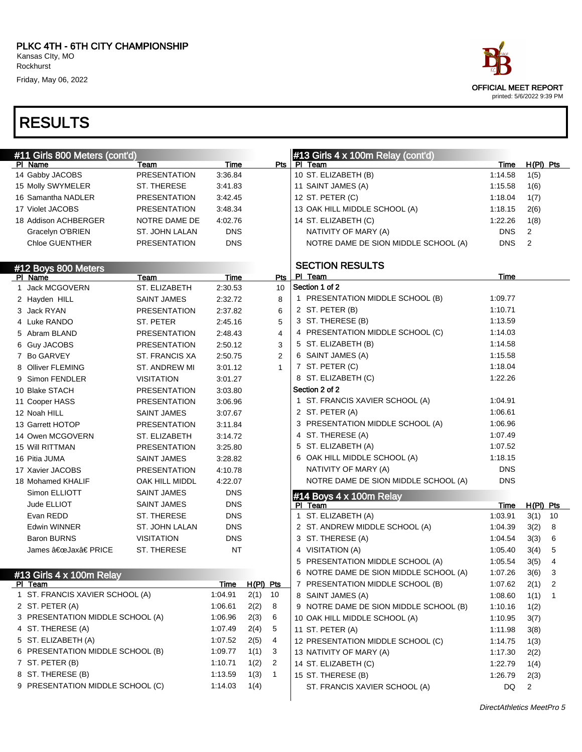| #11 Girls 800 Meters (cont'd)    |                                       |                        |             |                |   | #13 Girls $4 \times 100$ m Relay (cont'd)          |                    |                |    |
|----------------------------------|---------------------------------------|------------------------|-------------|----------------|---|----------------------------------------------------|--------------------|----------------|----|
| PI Name                          | Team                                  | Time                   |             | Pts I          |   | PI Team                                            | Time               | $H(PI)$ Pts    |    |
| 14 Gabby JACOBS                  | <b>PRESENTATION</b>                   | 3:36.84                |             |                |   | 10 ST. ELIZABETH (B)                               | 1:14.58            | 1(5)           |    |
| 15 Molly SWYMELER                | ST. THERESE                           | 3:41.83                |             |                |   | 11 SAINT JAMES (A)                                 | 1:15.58            | 1(6)           |    |
| 16 Samantha NADLER               | <b>PRESENTATION</b>                   | 3:42.45                |             |                |   | 12 ST. PETER (C)                                   | 1:18.04            | 1(7)           |    |
| 17 Violet JACOBS                 | <b>PRESENTATION</b>                   | 3:48.34                |             |                |   | 13 OAK HILL MIDDLE SCHOOL (A)                      | 1:18.15            | 2(6)           |    |
| 18 Addison ACHBERGER             | NOTRE DAME DE                         | 4:02.76                |             |                |   | 14 ST. ELIZABETH (C)                               | 1:22.26            | 1(8)           |    |
| Gracelyn O'BRIEN                 | ST. JOHN LALAN                        | <b>DNS</b>             |             |                |   | NATIVITY OF MARY (A)                               | <b>DNS</b>         | $\overline{2}$ |    |
| <b>Chloe GUENTHER</b>            | <b>PRESENTATION</b>                   | <b>DNS</b>             |             |                |   | NOTRE DAME DE SION MIDDLE SCHOOL (A)               | <b>DNS</b>         | 2              |    |
|                                  |                                       |                        |             |                |   | <b>SECTION RESULTS</b>                             |                    |                |    |
| #12 Boys 800 Meters              |                                       |                        |             |                |   | PI Team                                            | Time               |                |    |
| PI Name<br>1 Jack MCGOVERN       | Team<br>ST. ELIZABETH                 | <b>Time</b><br>2:30.53 |             | Pts<br>10      |   | Section 1 of 2                                     |                    |                |    |
| 2 Hayden HILL                    | <b>SAINT JAMES</b>                    | 2:32.72                |             | 8              |   | 1 PRESENTATION MIDDLE SCHOOL (B)                   | 1:09.77            |                |    |
| 3 Jack RYAN                      | <b>PRESENTATION</b>                   | 2:37.82                |             | 6              |   | 2 ST. PETER (B)                                    | 1:10.71            |                |    |
| 4 Luke RANDO                     | ST. PETER                             | 2:45.16                |             | 5              |   | 3 ST. THERESE (B)                                  | 1:13.59            |                |    |
| 5 Abram BLAND                    | <b>PRESENTATION</b>                   | 2:48.43                |             | $\overline{4}$ |   | 4 PRESENTATION MIDDLE SCHOOL (C)                   | 1:14.03            |                |    |
|                                  |                                       |                        |             | 3              |   | 5 ST. ELIZABETH (B)                                | 1:14.58            |                |    |
| 6 Guy JACOBS                     | <b>PRESENTATION</b><br>ST. FRANCIS XA | 2:50.12                |             | $\overline{2}$ |   | 6 SAINT JAMES (A)                                  | 1:15.58            |                |    |
| 7 Bo GARVEY                      |                                       | 2:50.75                |             | $\mathbf{1}$   |   | 7 ST. PETER (C)                                    | 1:18.04            |                |    |
| 8 Olliver FLEMING                | ST. ANDREW MI                         | 3:01.12                |             |                |   | 8 ST. ELIZABETH (C)                                | 1:22.26            |                |    |
| 9 Simon FENDLER                  | <b>VISITATION</b>                     | 3:01.27                |             |                |   | Section 2 of 2                                     |                    |                |    |
| 10 Blake STACH                   | PRESENTATION                          | 3:03.80                |             |                |   |                                                    |                    |                |    |
| 11 Cooper HASS                   | PRESENTATION                          | 3:06.96                |             |                |   | 1 ST. FRANCIS XAVIER SCHOOL (A)<br>2 ST. PETER (A) | 1:04.91<br>1:06.61 |                |    |
| 12 Noah HILL                     | <b>SAINT JAMES</b>                    | 3:07.67                |             |                |   | 3 PRESENTATION MIDDLE SCHOOL (A)                   |                    |                |    |
| 13 Garrett HOTOP                 | <b>PRESENTATION</b>                   | 3:11.84                |             |                |   |                                                    | 1:06.96            |                |    |
| 14 Owen MCGOVERN                 | ST. ELIZABETH                         | 3:14.72                |             |                |   | 4 ST. THERESE (A)                                  | 1:07.49            |                |    |
| 15 Will RITTMAN                  | <b>PRESENTATION</b>                   | 3:25.80                |             |                |   | 5 ST. ELIZABETH (A)                                | 1:07.52            |                |    |
| 16 Pitia JUMA                    | <b>SAINT JAMES</b>                    | 3:28.82                |             |                |   | 6 OAK HILL MIDDLE SCHOOL (A)                       | 1:18.15            |                |    |
| 17 Xavier JACOBS                 | <b>PRESENTATION</b>                   | 4:10.78                |             |                |   | NATIVITY OF MARY (A)                               | <b>DNS</b>         |                |    |
| 18 Mohamed KHALIF                | OAK HILL MIDDL                        | 4:22.07                |             |                |   | NOTRE DAME DE SION MIDDLE SCHOOL (A)               | <b>DNS</b>         |                |    |
| Simon ELLIOTT                    | <b>SAINT JAMES</b>                    | <b>DNS</b>             |             |                |   | #14 Boys $4 \times 100$ m Relay                    |                    |                |    |
| Jude ELLIOT                      | <b>SAINT JAMES</b>                    | <b>DNS</b>             |             |                |   | PI Team                                            | Time               | $H(PI)$ Pts    |    |
| Evan REDD                        | ST. THERESE                           | <b>DNS</b>             |             |                |   | 1 ST. ELIZABETH (A)                                | 1:03.91            | 3(1)           | 10 |
| Edwin WINNER                     | ST. JOHN LALAN                        | <b>DNS</b>             |             |                |   | 2 ST. ANDREW MIDDLE SCHOOL (A)                     | 1:04.39            | 3(2)           | 8  |
| <b>Baron BURNS</b>               | <b>VISITATION</b>                     | <b>DNS</b>             |             |                |   | 3 ST. THERESE (A)                                  | 1:04.54            | 3(3)           | 6  |
| James "Jax†PRICE                 | ST. THERESE                           | NT                     |             |                |   | 4 VISITATION (A)                                   | 1:05.40            | 3(4)           | 5  |
|                                  |                                       |                        |             |                |   | 5 PRESENTATION MIDDLE SCHOOL (A)                   | 1:05.54            | 3(5)           | 4  |
| #13 Girls 4 x 100m Relay         |                                       |                        |             |                | 6 | NOTRE DAME DE SION MIDDLE SCHOOL (A)               | 1:07.26            | 3(6)           | 3  |
| PI Team                          |                                       | <u>Time</u>            | $H(PI)$ Pts |                |   | 7 PRESENTATION MIDDLE SCHOOL (B)                   | 1:07.62            | 2(1)           | 2  |
| 1 ST. FRANCIS XAVIER SCHOOL (A)  |                                       | 1:04.91                | 2(1)        | 10             |   | 8 SAINT JAMES (A)                                  | 1:08.60            | 1(1)           |    |
| 2 ST. PETER (A)                  |                                       | 1:06.61                | 2(2)        | 8              |   | 9 NOTRE DAME DE SION MIDDLE SCHOOL (B)             | 1:10.16            | 1(2)           |    |
| 3 PRESENTATION MIDDLE SCHOOL (A) |                                       | 1:06.96                | 2(3)        | 6              |   | 10 OAK HILL MIDDLE SCHOOL (A)                      | 1:10.95            | 3(7)           |    |
| 4 ST. THERESE (A)                |                                       | 1:07.49                | 2(4)        | 5              |   | 11 ST. PETER (A)                                   | 1:11.98            | 3(8)           |    |
| 5 ST. ELIZABETH (A)              |                                       | 1:07.52                | 2(5)        | 4              |   | 12 PRESENTATION MIDDLE SCHOOL (C)                  | 1:14.75            | 1(3)           |    |
| 6 PRESENTATION MIDDLE SCHOOL (B) |                                       | 1:09.77                | 1(1)        | 3              |   | 13 NATIVITY OF MARY (A)                            | 1:17.30            | 2(2)           |    |
| 7 ST. PETER (B)                  |                                       | 1:10.71                | 1(2)        | $\overline{2}$ |   | 14 ST. ELIZABETH (C)                               | 1:22.79            | 1(4)           |    |
| 8 ST. THERESE (B)                |                                       | 1:13.59                | 1(3)        | $\mathbf{1}$   |   | 15 ST. THERESE (B)                                 | 1:26.79            | 2(3)           |    |
| 9 PRESENTATION MIDDLE SCHOOL (C) |                                       | 1:14.03                | 1(4)        |                |   | ST. FRANCIS XAVIER SCHOOL (A)                      | DQ                 | $\overline{2}$ |    |
|                                  |                                       |                        |             |                |   |                                                    |                    |                |    |

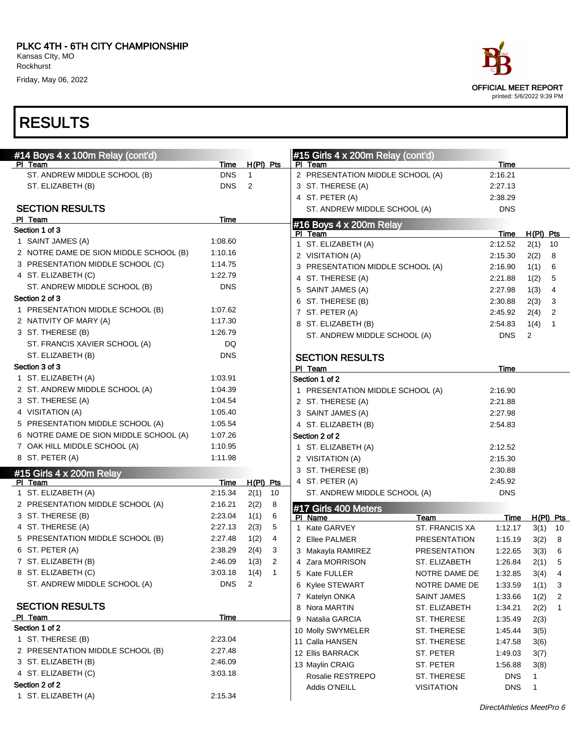| #14 Boys 4 x 100m Relay (cont'd)       |            |                |    | #15 Girls 4 x 200m Relay (cont'd) |                          |            |                |                |
|----------------------------------------|------------|----------------|----|-----------------------------------|--------------------------|------------|----------------|----------------|
| PI Team                                | Time       | $H(PI)$ Pts    |    | PI Team                           |                          | Time       |                |                |
| ST. ANDREW MIDDLE SCHOOL (B)           | <b>DNS</b> | $\mathbf{1}$   |    | 2 PRESENTATION MIDDLE SCHOOL (A)  |                          | 2:16.21    |                |                |
| ST. ELIZABETH (B)                      | <b>DNS</b> | $\overline{2}$ |    | 3 ST. THERESE (A)                 |                          | 2:27.13    |                |                |
|                                        |            |                |    | 4 ST. PETER (A)                   |                          | 2:38.29    |                |                |
| <b>SECTION RESULTS</b>                 |            |                |    | ST. ANDREW MIDDLE SCHOOL (A)      |                          | <b>DNS</b> |                |                |
| PI Team                                | Time       |                |    | #16 Boys 4 x 200m Relay           |                          |            |                |                |
| Section 1 of 3                         |            |                |    | PI Team                           |                          | Time       | $H(PI)$ Pts    |                |
| 1 SAINT JAMES (A)                      | 1:08.60    |                |    | 1 ST. ELIZABETH (A)               |                          | 2:12.52    | $2(1)$ 10      |                |
| 2 NOTRE DAME DE SION MIDDLE SCHOOL (B) | 1:10.16    |                |    | 2 VISITATION (A)                  |                          | 2:15.30    | 2(2)           | - 8            |
| 3 PRESENTATION MIDDLE SCHOOL (C)       | 1:14.75    |                |    | 3 PRESENTATION MIDDLE SCHOOL (A)  |                          | 2:16.90    | 1(1)           | - 6            |
| 4 ST. ELIZABETH (C)                    | 1:22.79    |                |    | 4 ST. THERESE (A)                 |                          | 2:21.88    | 1(2)           | - 5            |
| ST. ANDREW MIDDLE SCHOOL (B)           | <b>DNS</b> |                |    | 5 SAINT JAMES (A)                 |                          | 2:27.98    | 1(3)           | -4             |
| Section 2 of 3                         |            |                |    | 6 ST. THERESE (B)                 |                          | 2:30.88    | 2(3)           | $\mathbf{3}$   |
| 1 PRESENTATION MIDDLE SCHOOL (B)       | 1:07.62    |                |    | 7 ST. PETER (A)                   |                          | 2:45.92    | 2(4)           | $\overline{2}$ |
| 2 NATIVITY OF MARY (A)                 | 1:17.30    |                |    | 8 ST. ELIZABETH (B)               |                          | 2:54.83    | 1(4)           | $\overline{1}$ |
| 3 ST. THERESE (B)                      | 1:26.79    |                |    | ST. ANDREW MIDDLE SCHOOL (A)      |                          | <b>DNS</b> | $\overline{2}$ |                |
| ST. FRANCIS XAVIER SCHOOL (A)          | DQ         |                |    |                                   |                          |            |                |                |
| ST. ELIZABETH (B)                      | <b>DNS</b> |                |    | <b>SECTION RESULTS</b>            |                          |            |                |                |
| Section 3 of 3                         |            |                |    | PI Team                           |                          | Time       |                |                |
| 1 ST. ELIZABETH (A)                    | 1:03.91    |                |    | Section 1 of 2                    |                          |            |                |                |
| 2 ST. ANDREW MIDDLE SCHOOL (A)         | 1:04.39    |                |    | 1 PRESENTATION MIDDLE SCHOOL (A)  |                          | 2:16.90    |                |                |
| 3 ST. THERESE (A)                      | 1:04.54    |                |    | 2 ST. THERESE (A)                 |                          | 2:21.88    |                |                |
| 4 VISITATION (A)                       | 1:05.40    |                |    | 3 SAINT JAMES (A)                 |                          | 2:27.98    |                |                |
| 5 PRESENTATION MIDDLE SCHOOL (A)       | 1:05.54    |                |    | 4 ST. ELIZABETH (B)               |                          | 2:54.83    |                |                |
| 6 NOTRE DAME DE SION MIDDLE SCHOOL (A) | 1:07.26    |                |    | Section 2 of 2                    |                          |            |                |                |
| 7 OAK HILL MIDDLE SCHOOL (A)           | 1:10.95    |                |    | 1 ST. ELIZABETH (A)               |                          | 2:12.52    |                |                |
| 8 ST. PETER (A)                        | 1:11.98    |                |    | 2 VISITATION (A)                  |                          | 2:15.30    |                |                |
| #15 Girls $4 \times 200$ m Relay       |            |                |    | 3 ST. THERESE (B)                 |                          | 2:30.88    |                |                |
| PI Team                                | Time       | $H(PI)$ Pts    |    | 4 ST. PETER (A)                   |                          | 2:45.92    |                |                |
| 1 ST. ELIZABETH (A)                    | 2:15.34    | 2(1)           | 10 | ST. ANDREW MIDDLE SCHOOL (A)      |                          | <b>DNS</b> |                |                |
| 2 PRESENTATION MIDDLE SCHOOL (A)       | 2:16.21    | 2(2)           | 8  |                                   |                          |            |                |                |
| 3 ST. THERESE (B)                      | 2:23.04    | 1(1)           | 6  | #17 Girls 400 Meters<br>PI Name   | Team                     | Time       |                | $H(PI)$ Pts    |
| 4 ST. THERESE (A)                      | 2:27.13    | 2(3)           | 5  | 1 Kate GARVEY                     | <b>ST. FRANCIS XA</b>    | 1:12.17    | 3(1)           | 10             |
| 5 PRESENTATION MIDDLE SCHOOL (B)       | 2:27.48    | 1(2)           | 4  | 2 Ellee PALMER                    | <b>PRESENTATION</b>      | 1:15.19    | 3(2)           | 8              |
| 6 ST. PETER (A)                        | 2:38.29    | 2(4)           | 3  | 3 Makayla RAMIREZ                 | <b>PRESENTATION</b>      | 1:22.65    | 3(3)           | 6              |
| 7 ST. ELIZABETH (B)                    | 2:46.09    | 1(3)           | 2  | 4 Zara MORRISON                   | ST. ELIZABETH            | 1:26.84    | 2(1)           | 5              |
| 8 ST. ELIZABETH (C)                    | 3:03.18    | 1(4)           | -1 | 5 Kate FULLER                     | NOTRE DAME DE            | 1:32.85    | 3(4)           | $\overline{4}$ |
| ST. ANDREW MIDDLE SCHOOL (A)           | DNS.       | $\overline{2}$ |    | 6 Kylee STEWART                   | NOTRE DAME DE            | 1:33.59    | 1(1)           | 3              |
|                                        |            |                |    | 7 Katelyn ONKA                    | <b>SAINT JAMES</b>       | 1:33.66    | 1(2)           | 2              |
| <b>SECTION RESULTS</b>                 |            |                |    | 8 Nora MARTIN                     | ST. ELIZABETH            | 1:34.21    |                | $\mathbf{1}$   |
| PI Team                                | Time       |                |    | 9 Natalia GARCIA                  | ST. THERESE              |            | 2(2)           |                |
| Section 1 of 2                         |            |                |    |                                   | ST. THERESE              | 1:35.49    | 2(3)           |                |
| 1 ST. THERESE (B)                      | 2:23.04    |                |    | 10 Molly SWYMELER                 |                          | 1:45.44    | 3(5)           |                |
| 2 PRESENTATION MIDDLE SCHOOL (B)       | 2:27.48    |                |    | 11 Calla HANSEN                   | ST. THERESE<br>ST. PETER | 1:47.58    | 3(6)           |                |
| 3 ST. ELIZABETH (B)                    | 2:46.09    |                |    | 12 Ellis BARRACK                  |                          | 1:49.03    | 3(7)           |                |
| 4 ST. ELIZABETH (C)                    | 3:03.18    |                |    | 13 Maylin CRAIG                   | ST. PETER                | 1:56.88    | 3(8)           |                |
| Section 2 of 2                         |            |                |    | Rosalie RESTREPO                  | ST. THERESE              | <b>DNS</b> | 1              |                |
| 1 ST. ELIZABETH (A)                    | 2:15.34    |                |    | Addis O'NEILL                     | <b>VISITATION</b>        | <b>DNS</b> | $\mathbf{1}$   |                |
|                                        |            |                |    |                                   |                          |            |                |                |

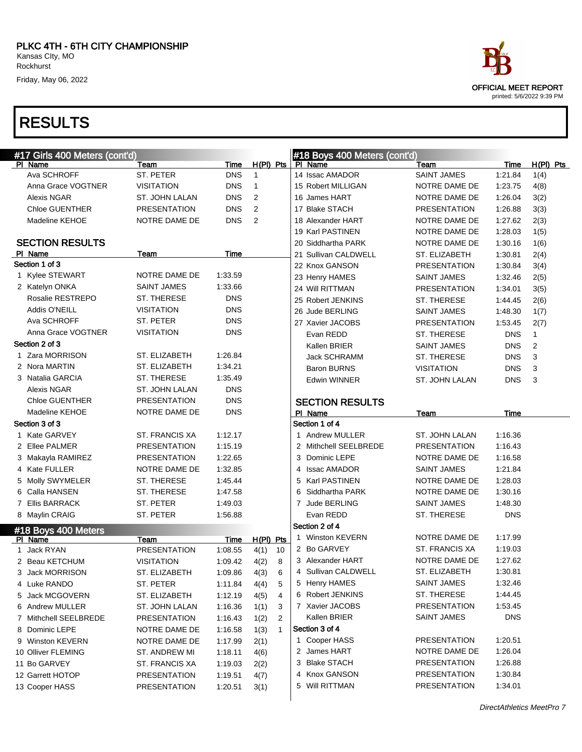| #17 Girls 400 Meters (cont'd) |                     |             |                      | #18 Boys 400 Meters (cont'd) |                     |             |             |
|-------------------------------|---------------------|-------------|----------------------|------------------------------|---------------------|-------------|-------------|
| PI Name                       | Team                | Time        | $H(PI)$ Pts          | PI Name                      | Team                | <b>Time</b> | $H(PI)$ Pts |
| Ava SCHROFF                   | ST. PETER           | <b>DNS</b>  | $\overline{1}$       | 14 Issac AMADOR              | <b>SAINT JAMES</b>  | 1:21.84     | 1(4)        |
| Anna Grace VOGTNER            | <b>VISITATION</b>   | <b>DNS</b>  | $\mathbf{1}$         | 15 Robert MILLIGAN           | NOTRE DAME DE       | 1:23.75     | 4(8)        |
| <b>Alexis NGAR</b>            | ST. JOHN LALAN      | <b>DNS</b>  | 2                    | 16 James HART                | NOTRE DAME DE       | 1:26.04     | 3(2)        |
| <b>Chloe GUENTHER</b>         | <b>PRESENTATION</b> | <b>DNS</b>  | 2                    | 17 Blake STACH               | <b>PRESENTATION</b> | 1:26.88     | 3(3)        |
| Madeline KEHOE                | NOTRE DAME DE       | <b>DNS</b>  | 2                    | 18 Alexander HART            | NOTRE DAME DE       | 1:27.62     | 2(3)        |
|                               |                     |             |                      | 19 Karl PASTINEN             | NOTRE DAME DE       | 1:28.03     | 1(5)        |
| <b>SECTION RESULTS</b>        |                     |             |                      | 20 Siddhartha PARK           | NOTRE DAME DE       | 1:30.16     | 1(6)        |
| PI Name                       | Team                | Time        |                      | 21 Sullivan CALDWELL         | ST. ELIZABETH       | 1:30.81     | 2(4)        |
| Section 1 of 3                |                     |             |                      | 22 Knox GANSON               | <b>PRESENTATION</b> | 1:30.84     | 3(4)        |
| 1 Kylee STEWART               | NOTRE DAME DE       | 1:33.59     |                      | 23 Henry HAMES               | <b>SAINT JAMES</b>  | 1:32.46     | 2(5)        |
| 2 Katelyn ONKA                | <b>SAINT JAMES</b>  | 1:33.66     |                      | 24 Will RITTMAN              | <b>PRESENTATION</b> | 1:34.01     | 3(5)        |
| Rosalie RESTREPO              | ST. THERESE         | <b>DNS</b>  |                      | 25 Robert JENKINS            | <b>ST. THERESE</b>  | 1:44.45     | 2(6)        |
| Addis O'NEILL                 | <b>VISITATION</b>   | <b>DNS</b>  |                      | 26 Jude BERLING              | <b>SAINT JAMES</b>  | 1:48.30     | 1(7)        |
| Ava SCHROFF                   | ST. PETER           | <b>DNS</b>  |                      | 27 Xavier JACOBS             | <b>PRESENTATION</b> | 1:53.45     | 2(7)        |
| Anna Grace VOGTNER            | VISITATION          | <b>DNS</b>  |                      | Evan REDD                    | ST. THERESE         | <b>DNS</b>  | 1           |
| Section 2 of 3                |                     |             |                      | Kallen BRIER                 | <b>SAINT JAMES</b>  | <b>DNS</b>  | 2           |
| 1 Zara MORRISON               | ST. ELIZABETH       | 1:26.84     |                      | <b>Jack SCHRAMM</b>          | ST. THERESE         | <b>DNS</b>  | 3           |
| 2 Nora MARTIN                 | ST. ELIZABETH       | 1:34.21     |                      | <b>Baron BURNS</b>           | <b>VISITATION</b>   | <b>DNS</b>  | 3           |
| 3 Natalia GARCIA              | ST. THERESE         | 1:35.49     |                      | <b>Edwin WINNER</b>          | ST. JOHN LALAN      | <b>DNS</b>  | 3           |
| Alexis NGAR                   | ST. JOHN LALAN      | <b>DNS</b>  |                      |                              |                     |             |             |
| <b>Chloe GUENTHER</b>         | <b>PRESENTATION</b> | <b>DNS</b>  |                      | <b>SECTION RESULTS</b>       |                     |             |             |
| Madeline KEHOE                | NOTRE DAME DE       | <b>DNS</b>  |                      | PI Name                      | Team                | Time        |             |
| Section 3 of 3                |                     |             |                      | Section 1 of 4               |                     |             |             |
| 1 Kate GARVEY                 | ST. FRANCIS XA      | 1:12.17     |                      | 1 Andrew MULLER              | ST. JOHN LALAN      | 1:16.36     |             |
| 2 Ellee PALMER                | <b>PRESENTATION</b> | 1:15.19     |                      | 2 Mithchell SEELBREDE        | <b>PRESENTATION</b> | 1:16.43     |             |
| 3 Makayla RAMIREZ             | <b>PRESENTATION</b> | 1:22.65     |                      | 3 Dominic LEPE               | NOTRE DAME DE       | 1:16.58     |             |
| 4 Kate FULLER                 | NOTRE DAME DE       | 1:32.85     |                      | 4 Issac AMADOR               | <b>SAINT JAMES</b>  | 1:21.84     |             |
| 5 Molly SWYMELER              | ST. THERESE         | 1:45.44     |                      | 5 Karl PASTINEN              | NOTRE DAME DE       | 1:28.03     |             |
| 6 Calla HANSEN                | ST. THERESE         | 1:47.58     |                      | 6 Siddhartha PARK            | NOTRE DAME DE       | 1:30.16     |             |
| 7 Ellis BARRACK               | ST. PETER           | 1:49.03     |                      | 7 Jude BERLING               | <b>SAINT JAMES</b>  | 1:48.30     |             |
| 8 Maylin CRAIG                | ST. PETER           | 1:56.88     |                      | Evan REDD                    | ST. THERESE         | <b>DNS</b>  |             |
| #18 Boys 400 Meters           |                     |             |                      | Section 2 of 4               |                     |             |             |
| PI Name                       | Team                | <b>Time</b> | $H(PI)$ Pts          | 1 Winston KEVERN             | NOTRE DAME DE       | 1:17.99     |             |
| 1 Jack RYAN                   | <b>PRESENTATION</b> | 1:08.55     | 4(1)<br>10           | 2 Bo GARVEY                  | ST. FRANCIS XA      | 1:19.03     |             |
| 2 Beau KETCHUM                | <b>VISITATION</b>   | 1:09.42     | 4(2)<br>8            | 3 Alexander HART             | NOTRE DAME DE       | 1:27.62     |             |
| 3 Jack MORRISON               | ST. ELIZABETH       | 1:09.86     | 4(3)<br>6            | 4 Sullivan CALDWELL          | ST. ELIZABETH       | 1:30.81     |             |
| 4 Luke RANDO                  | ST. PETER           | 1:11.84     | 4(4)<br>5            | 5 Henry HAMES                | SAINT JAMES         | 1:32.46     |             |
| 5 Jack MCGOVERN               | ST. ELIZABETH       | 1:12.19     | 4(5)<br>4            | 6 Robert JENKINS             | ST. THERESE         | 1:44.45     |             |
| 6 Andrew MULLER               | ST. JOHN LALAN      | 1:16.36     | 1(1)<br>3            | 7 Xavier JACOBS              | <b>PRESENTATION</b> | 1:53.45     |             |
| 7 Mithchell SEELBREDE         | <b>PRESENTATION</b> | 1:16.43     | 1(2)<br>2            | Kallen BRIER                 | SAINT JAMES         | <b>DNS</b>  |             |
| 8 Dominic LEPE                | NOTRE DAME DE       | 1:16.58     | 1(3)<br>$\mathbf{1}$ | Section 3 of 4               |                     |             |             |
| 9 Winston KEVERN              | NOTRE DAME DE       | 1:17.99     | 2(1)                 | 1 Cooper HASS                | <b>PRESENTATION</b> | 1:20.51     |             |
| 10 Olliver FLEMING            | ST. ANDREW MI       | 1:18.11     | 4(6)                 | 2 James HART                 | NOTRE DAME DE       | 1:26.04     |             |
| 11 Bo GARVEY                  | ST. FRANCIS XA      | 1:19.03     | 2(2)                 | 3 Blake STACH                | <b>PRESENTATION</b> | 1:26.88     |             |
| 12 Garrett HOTOP              | <b>PRESENTATION</b> | 1:19.51     | 4(7)                 | 4 Knox GANSON                | <b>PRESENTATION</b> | 1:30.84     |             |
| 13 Cooper HASS                | <b>PRESENTATION</b> | 1:20.51     | 3(1)                 | 5 Will RITTMAN               | <b>PRESENTATION</b> | 1:34.01     |             |
|                               |                     |             |                      |                              |                     |             |             |

 $\overline{\phantom{a}}$ 

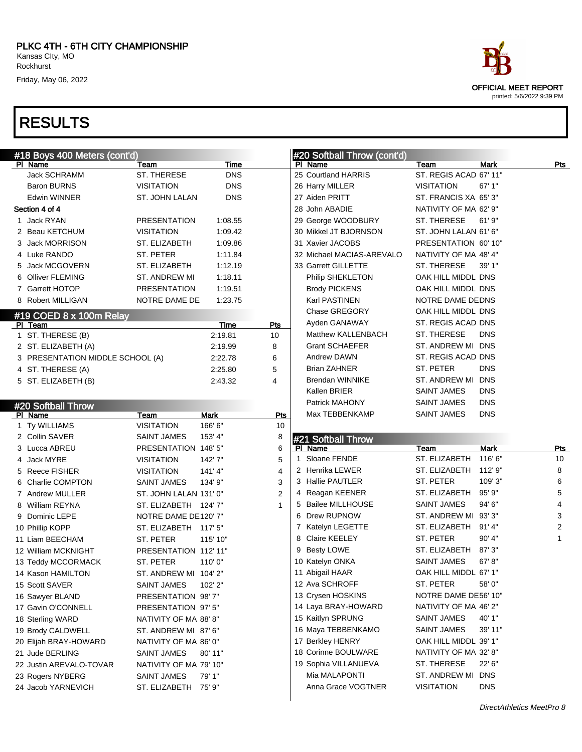|   | #18 Boys 400 Meters (cont'd)           |                                     |            |                |   | #20 Softball Throw (cont'd)           |                       |             |
|---|----------------------------------------|-------------------------------------|------------|----------------|---|---------------------------------------|-----------------------|-------------|
|   | PI Name                                | Team                                | Time       |                |   | PI Name                               | Team                  | Mark        |
|   | <b>Jack SCHRAMM</b>                    | ST. THERESE                         | <b>DNS</b> |                |   | 25 Courtland HARRIS                   | ST. REGIS ACAD 67' 1  |             |
|   | <b>Baron BURNS</b>                     | <b>VISITATION</b>                   | <b>DNS</b> |                |   | 26 Harry MILLER                       | <b>VISITATION</b>     | 67'1        |
|   | Edwin WINNER                           | ST. JOHN LALAN                      | <b>DNS</b> |                |   | 27 Aiden PRITT                        | ST. FRANCIS XA 65'3   |             |
|   | Section 4 of 4                         |                                     |            |                |   | 28 John ABADIE                        | NATIVITY OF MA 62' 9  |             |
|   | 1 Jack RYAN                            | <b>PRESENTATION</b>                 | 1:08.55    |                |   | 29 George WOODBURY                    | ST. THERESE           | 61'9        |
| 2 | Beau KETCHUM                           | <b>VISITATION</b>                   | 1:09.42    |                |   | 30 Mikkel JT BJORNSON                 | ST. JOHN LALAN 61' 6  |             |
| 3 | <b>Jack MORRISON</b>                   | ST. ELIZABETH                       | 1:09.86    |                |   | 31 Xavier JACOBS                      | PRESENTATION 60' 1    |             |
| 4 | Luke RANDO                             | <b>ST. PETER</b>                    | 1:11.84    |                |   | 32 Michael MACIAS-AREVALO             | NATIVITY OF MA 48' 4  |             |
| 5 | <b>Jack MCGOVERN</b>                   | <b>ST. ELIZABETH</b>                | 1:12.19    |                |   | 33 Garrett GILLETTE                   | ST. THERESE           | 39' 1'      |
| 6 | <b>Olliver FLEMING</b>                 | <b>ST. ANDREW MI</b>                | 1:18.11    |                |   | Philip SHEKLETON                      | OAK HILL MIDDL DNS    |             |
| 7 | Garrett HOTOP                          | <b>PRESENTATION</b>                 | 1:19.51    |                |   | <b>Brody PICKENS</b>                  | OAK HILL MIDDL DNS    |             |
| 8 | Robert MILLIGAN                        | NOTRE DAME DE                       | 1:23.75    |                |   | Karl PASTINEN                         | NOTRE DAME DEDNS      |             |
|   | #19 COED 8 x 100m Relay                |                                     |            |                |   | Chase GREGORY                         | OAK HILL MIDDL DNS    |             |
|   | PI Team                                |                                     | Time       | Pts            |   | Ayden GANAWAY                         | ST. REGIS ACAD DNS    |             |
|   | 1 ST. THERESE (B)                      |                                     | 2:19.81    | 10             |   | Matthew KALLENBACH                    | ST. THERESE           | <b>DNS</b>  |
|   | 2 ST. ELIZABETH (A)                    |                                     | 2:19.99    | 8              |   | <b>Grant SCHAEFER</b>                 | ST. ANDREW MI DNS     |             |
|   | 3 PRESENTATION MIDDLE SCHOOL (A)       |                                     | 2:22.78    | 6              |   | <b>Andrew DAWN</b>                    | ST. REGIS ACAD DNS    |             |
| 4 | ST. THERESE (A)                        |                                     | 2:25.80    | 5              |   | <b>Brian ZAHNER</b>                   | ST. PETER             | <b>DNS</b>  |
|   | 5 ST. ELIZABETH (B)                    |                                     | 2:43.32    | 4              |   | <b>Brendan WINNIKE</b>                | ST. ANDREW MI DNS     |             |
|   |                                        |                                     |            |                |   | Kallen BRIER                          | <b>SAINT JAMES</b>    | <b>DNS</b>  |
|   | #20 Softball Throw                     |                                     |            |                |   | Patrick MAHONY                        | <b>SAINT JAMES</b>    | <b>DNS</b>  |
|   | PI Name                                | Team                                | Mark       | Pts            |   | Max TEBBENKAMP                        | <b>SAINT JAMES</b>    | <b>DNS</b>  |
|   | 1 Ty WILLIAMS                          | <b>VISITATION</b>                   | 166' 6"    | 10             |   |                                       |                       |             |
| 2 | <b>Collin SAVER</b>                    | <b>SAINT JAMES</b>                  | 153' 4"    | 8              |   | #21 Softball Throw                    |                       |             |
| 3 | Lucca ABREU                            | PRESENTATION 148' 5"                |            | 6              |   | PI Name                               | Team                  | <b>Mark</b> |
| 4 | Jack MYRE                              | <b>VISITATION</b>                   | 142'7"     | 5              | 1 | Sloane FENDE                          | ST. ELIZABETH         | 116'        |
| 5 | <b>Reece FISHER</b>                    | <b>VISITATION</b>                   | 141'4"     | $\overline{4}$ |   | 2 Henrika LEWER                       | ST. ELIZABETH         | 112'        |
| 6 | Charlie COMPTON                        | SAINT JAMES                         | 134' 9"    | 3              |   | 3 Hallie PAUTLER                      | ST. PETER             | 109'        |
|   | 7 Andrew MULLER                        | ST. JOHN LALAN 131' 0"              |            | $\overline{2}$ |   | 4 Reagan KEENER                       | ST. ELIZABETH         | 95'9        |
| 8 | William REYNA                          | ST. ELIZABETH 124' 7"               |            | 1              | 5 | <b>Bailee MILLHOUSE</b>               | <b>SAINT JAMES</b>    | 94'6        |
| 9 | Dominic LEPE                           | NOTRE DAME DE120' 7"                |            |                | 6 | Drew RUPNOW                           | ST. ANDREW MI 93'3    |             |
|   | 10 Phillip KOPP                        | ST. ELIZABETH                       | 117' 5"    |                | 7 | Katelyn LEGETTE                       | ST. ELIZABETH         | 91'4        |
|   | 11 Liam BEECHAM                        | <b>ST. PETER</b>                    | 115' 10"   |                | 8 | <b>Claire KEELEY</b>                  | ST. PETER             | 90' 4       |
|   | 12 William MCKNIGHT                    | PRESENTATION 112'11"                |            |                | 9 | <b>Besty LOWE</b>                     | ST. ELIZABETH         | 87'3        |
|   | 13 Teddy MCCORMACK                     | ST. PETER                           | 110'0"     |                |   | 10 Katelyn ONKA                       | <b>SAINT JAMES</b>    | 67' 8       |
|   | 14 Kason HAMILTON                      | ST. ANDREW MI 104' 2"               |            |                |   | 11 Abigail HAAR                       | OAK HILL MIDDL 67' 1' |             |
|   | 15 Scott SAVER                         | SAINT JAMES                         | 102' 2"    |                |   | 12 Ava SCHROFF                        | ST. PETER             | 58'0        |
|   | 16 Sawyer BLAND                        | PRESENTATION 98'7"                  |            |                |   | 13 Crysen HOSKINS                     | NOTRE DAME DE56' 1    |             |
|   | 17 Gavin O'CONNELL                     | PRESENTATION 97' 5"                 |            |                |   | 14 Laya BRAY-HOWARD                   | NATIVITY OF MA 46' 2  |             |
|   | 18 Sterling WARD                       | NATIVITY OF MA 88'8"                |            |                |   | 15 Kaitlyn SPRUNG                     | SAINT JAMES           | 40' 1       |
|   | 19 Brody CALDWELL                      | ST. ANDREW MI 87' 6"                |            |                |   | 16 Maya TEBBENKAMO                    | SAINT JAMES           | 39' 1       |
|   | 20 Elijah BRAY-HOWARD                  | NATIVITY OF MA 86' 0"               |            |                |   | 17 Berkley HENRY                      | OAK HILL MIDDL 39' 1  |             |
|   |                                        | SAINT JAMES                         | 80' 11"    |                |   | 18 Corinne BOULWARE                   | NATIVITY OF MA 32' 8' |             |
|   | 21 Jude BERLING                        |                                     |            |                |   |                                       |                       |             |
|   |                                        | NATIVITY OF MA 79' 10"              |            |                |   |                                       | ST. THERESE           | 22' 6       |
|   | 22 Justin AREVALO-TOVAR                |                                     |            |                |   | 19 Sophia VILLANUEVA<br>Mia MALAPONTI | ST. ANDREW MI         | <b>DNS</b>  |
|   | 23 Rogers NYBERG<br>24 Jacob YARNEVICH | SAINT JAMES<br>ST. ELIZABETH 75' 9" | 79' 1"     |                |   | Anna Grace VOGTNER                    | <b>VISITATION</b>     | <b>DNS</b>  |



|                |   | #20 Softball Throw (cont'd) |                        |             |     |
|----------------|---|-----------------------------|------------------------|-------------|-----|
|                |   | PI Name                     | <u>Team</u>            | Mark        | Pts |
|                |   | 25 Courtland HARRIS         | ST. REGIS ACAD 67' 11" |             |     |
|                |   | 26 Harry MILLER             | <b>VISITATION</b>      | 67'1"       |     |
|                |   | 27 Aiden PRITT              | ST. FRANCIS XA 65'3"   |             |     |
|                |   | 28 John ABADIE              | NATIVITY OF MA 62' 9"  |             |     |
|                |   | 29 George WOODBURY          | ST. THERESE            | 61'9''      |     |
|                |   | 30 Mikkel JT BJORNSON       | ST. JOHN LALAN 61' 6"  |             |     |
|                |   | 31 Xavier JACOBS            | PRESENTATION 60' 10"   |             |     |
|                |   | 32 Michael MACIAS-AREVALO   | NATIVITY OF MA 48' 4"  |             |     |
|                |   | 33 Garrett GILLETTE         | ST. THERESE            | 39' 1"      |     |
|                |   | Philip SHEKLETON            | OAK HILL MIDDL DNS     |             |     |
|                |   | <b>Brody PICKENS</b>        | OAK HILL MIDDL DNS     |             |     |
|                |   | Karl PASTINEN               | NOTRE DAME DEDNS       |             |     |
|                |   | Chase GREGORY               | OAK HILL MIDDL DNS     |             |     |
| শs             |   | Ayden GANAWAY               | ST. REGIS ACAD DNS     |             |     |
| 10             |   | Matthew KALLENBACH          | ST. THERESE            | <b>DNS</b>  |     |
| 8              |   | <b>Grant SCHAEFER</b>       | ST. ANDREW MI DNS      |             |     |
| 6              |   | <b>Andrew DAWN</b>          | ST. REGIS ACAD DNS     |             |     |
| 5              |   | <b>Brian ZAHNER</b>         | ST. PETER              | <b>DNS</b>  |     |
| 4              |   | <b>Brendan WINNIKE</b>      | ST. ANDREW MI DNS      |             |     |
|                |   | Kallen BRIER                | <b>SAINT JAMES</b>     | <b>DNS</b>  |     |
|                |   | Patrick MAHONY              | <b>SAINT JAMES</b>     | <b>DNS</b>  |     |
| Pts            |   | Max TEBBENKAMP              | <b>SAINT JAMES</b>     | <b>DNS</b>  |     |
| 10             |   |                             |                        |             |     |
| 8              |   | #21 Softball Throw          |                        |             |     |
| 6              |   | PI Name                     | <u>Team</u>            | <b>Mark</b> | Pts |
| 5              | 1 | Sloane FENDE                | ST. ELIZABETH          | 116'6"      | 10  |
| 4              |   | 2 Henrika LEWER             | ST. ELIZABETH          | 112' 9"     | 8   |
| 3              |   | 3 Hallie PAUTLER            | ST. PETER              | 109' 3"     | 6   |
| $\overline{2}$ |   | 4 Reagan KEENER             | ST. ELIZABETH          | 95' 9"      | 5   |
| 1              |   | 5 Bailee MILLHOUSE          | <b>SAINT JAMES</b>     | 94' 6"      | 4   |
|                |   | 6 Drew RUPNOW               | ST. ANDREW MI 93'3"    |             | 3   |
|                |   | 7 Katelyn LEGETTE           | ST. ELIZABETH          | 91' 4"      | 2   |
|                |   | 8 Claire KEELEY             | ST. PETER              | 90' 4"      | 1   |
|                |   | 9 Besty LOWE                | ST. ELIZABETH          | 87'3''      |     |
|                |   | 10 Katelyn ONKA             | <b>SAINT JAMES</b>     | 67' 8"      |     |
|                |   | 11 Abigail HAAR             | OAK HILL MIDDL 67' 1"  |             |     |
|                |   | 12 Ava SCHROFF              | ST. PETER              | 58' 0"      |     |
|                |   | 13 Crysen HOSKINS           | NOTRE DAME DE56' 10"   |             |     |
|                |   | 14 Laya BRAY-HOWARD         | NATIVITY OF MA 46' 2"  |             |     |
|                |   | 15 Kaitlyn SPRUNG           | <b>SAINT JAMES</b>     | 40' 1"      |     |
|                |   | 16 Maya TEBBENKAMO          | <b>SAINT JAMES</b>     | 39' 11"     |     |
|                |   | 17 Berkley HENRY            | OAK HILL MIDDL 39' 1"  |             |     |
|                |   | 18 Corinne BOULWARE         | NATIVITY OF MA 32' 8"  |             |     |
|                |   | 19 Sophia VILLANUEVA        | ST. THERESE            | 22' 6"      |     |
|                |   | Mia MALAPONTI               | ST. ANDREW MI DNS      |             |     |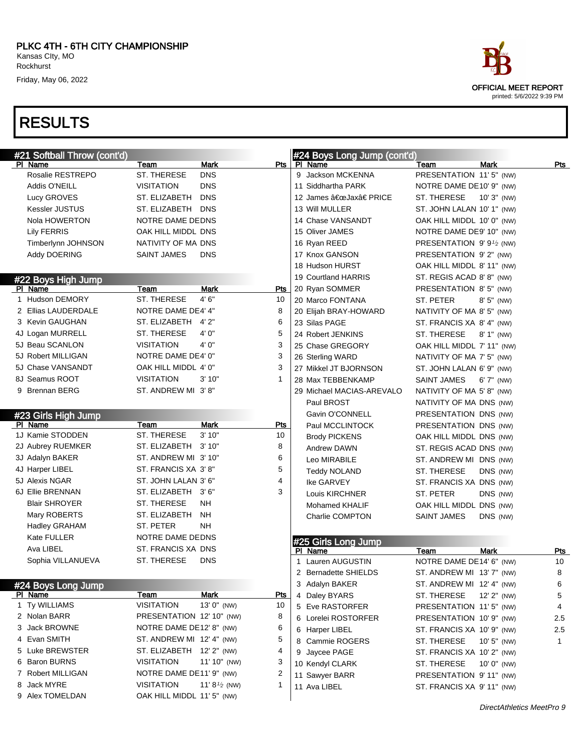|         | #21 Softball Throw (cont'd) |                            |                              | #24 Boys Long Jump (cont'd)    |                            |               |              |
|---------|-----------------------------|----------------------------|------------------------------|--------------------------------|----------------------------|---------------|--------------|
| PI Name |                             | Team                       | Mark<br>Pts                  | PI Name                        | Team                       | <b>Mark</b>   | Pts          |
|         | Rosalie RESTREPO            | ST. THERESE                | <b>DNS</b>                   | 9 Jackson MCKENNA              | PRESENTATION 11'5" (NW)    |               |              |
|         | Addis O'NEILL               | <b>VISITATION</b>          | <b>DNS</b>                   | 11 Siddhartha PARK             | NOTRE DAME DE10' 9" (NW)   |               |              |
|         | Lucy GROVES                 | ST. ELIZABETH              | <b>DNS</b>                   | 12 James "Jax†PRICE            | ST. THERESE                | 10' 3" (NW)   |              |
|         | Kessler JUSTUS              | ST. ELIZABETH              | <b>DNS</b>                   | 13 Will MULLER                 | ST. JOHN LALAN 10' 1" (NW) |               |              |
|         | Nola HOWERTON               | NOTRE DAME DEDNS           |                              | 14 Chase VANSANDT              | OAK HILL MIDDL 10' 0" (NW) |               |              |
|         | <b>Lily FERRIS</b>          | OAK HILL MIDDL DNS         |                              | 15 Oliver JAMES                | NOTRE DAME DE9' 10" (NW)   |               |              |
|         | Timberlynn JOHNSON          | NATIVITY OF MA DNS         |                              | 16 Ryan REED                   | PRESENTATION $9'9'$ (NW)   |               |              |
|         | Addy DOERING                | <b>SAINT JAMES</b>         | <b>DNS</b>                   | 17 Knox GANSON                 | PRESENTATION 9'2" (NW)     |               |              |
|         |                             |                            |                              | 18 Hudson HURST                | OAK HILL MIDDL 8' 11" (NW) |               |              |
|         | #22 Boys High Jump          |                            |                              | 19 Courtland HARRIS            | ST. REGIS ACAD 8'8" (NW)   |               |              |
| PI Name |                             | Team                       | <b>Mark</b><br>Pts           | 20 Ryan SOMMER                 | PRESENTATION 8' 5" (NW)    |               |              |
|         | 1 Hudson DEMORY             | ST. THERESE                | 4'6''<br>10                  | 20 Marco FONTANA               | ST. PETER                  | $8'5''$ (NW)  |              |
|         | 2 Ellias LAUDERDALE         | NOTRE DAME DE4' 4"         | 8                            | 20 Elijah BRAY-HOWARD          | NATIVITY OF MA 8' 5" (NW)  |               |              |
|         | 3 Kevin GAUGHAN             | ST. ELIZABETH 4'2"         | 6                            | 23 Silas PAGE                  | ST. FRANCIS XA 8'4" (NW)   |               |              |
|         | 4J Logan MURRELL            | ST. THERESE                | 4' 0"<br>5                   | 24 Robert JENKINS              | ST. THERESE                | $8'1''$ (NW)  |              |
|         | 5J Beau SCANLON             | <b>VISITATION</b>          | 4' 0"<br>3                   | 25 Chase GREGORY               | OAK HILL MIDDL 7' 11" (NW) |               |              |
|         | 5J Robert MILLIGAN          | NOTRE DAME DE4' 0"         | 3                            | 26 Sterling WARD               | NATIVITY OF MA 7' 5" (NW)  |               |              |
|         | 5J Chase VANSANDT           | OAK HILL MIDDL 4' 0"       | 3                            | 27 Mikkel JT BJORNSON          | ST. JOHN LALAN 6' 9" (NW)  |               |              |
|         | 8J Seamus ROOT              | <b>VISITATION</b>          | 3'10"<br>1                   | 28 Max TEBBENKAMP              | <b>SAINT JAMES</b>         | 6' 7" (NW)    |              |
|         | 9 Brennan BERG              | ST. ANDREW MI 3'8"         |                              | 29 Michael MACIAS-AREVALO      | NATIVITY OF MA 5' 8" (NW)  |               |              |
|         |                             |                            |                              | Paul BROST                     | NATIVITY OF MA DNS (NW)    |               |              |
|         | #23 Girls High Jump         |                            |                              | Gavin O'CONNELL                | PRESENTATION DNS (NW)      |               |              |
| PI Name |                             | Team                       | <b>Mark</b><br><u>Pts</u>    | Paul MCCLINTOCK                | PRESENTATION DNS (NW)      |               |              |
|         | 1J Kamie STODDEN            | ST. THERESE                | 3'10"<br>10                  | <b>Brody PICKENS</b>           | OAK HILL MIDDL DNS (NW)    |               |              |
|         | 2J Aubrey RUEMKER           | ST. ELIZABETH              | 8<br>3' 10"                  | Andrew DAWN                    | ST. REGIS ACAD DNS (NW)    |               |              |
|         | 3J Adalyn BAKER             | ST. ANDREW MI 3'10"        | 6                            | Leo MIRABILE                   | ST. ANDREW MI DNS (NW)     |               |              |
|         | 4J Harper LIBEL             | ST. FRANCIS XA 3'8"        | 5                            | <b>Teddy NOLAND</b>            | ST. THERESE                | DNS (NW)      |              |
|         | 5J Alexis NGAR              | ST. JOHN LALAN 3' 6"       | 4                            | Ike GARVEY                     | ST. FRANCIS XA DNS (NW)    |               |              |
|         | 6J Ellie BRENNAN            | ST. ELIZABETH 3'6"         | 3                            | Louis KIRCHNER                 | ST. PETER                  | DNS (NW)      |              |
|         | <b>Blair SHROYER</b>        | ST. THERESE                | NΗ                           | Mohamed KHALIF                 | OAK HILL MIDDL DNS (NW)    |               |              |
|         | Mary ROBERTS                | ST. ELIZABETH              | <b>NH</b>                    | Charlie COMPTON                | <b>SAINT JAMES</b>         | DNS (NW)      |              |
|         | Hadley GRAHAM               | ST. PETER                  | NΗ                           |                                |                            |               |              |
|         | Kate FULLER                 | NOTRE DAME DEDNS           |                              |                                |                            |               |              |
|         | Ava LIBEL                   | ST. FRANCIS XA DNS         |                              | #25 Girls Long Jump<br>PI Name | Team                       | <b>Mark</b>   | <b>Pts</b>   |
|         | Sophia VILLANUEVA           | ST. THERESE                | <b>DNS</b>                   | 1 Lauren AUGUSTIN              | NOTRE DAME DE14' 6" (NW)   |               | 10           |
|         |                             |                            |                              | 2 Bernadette SHIELDS           | ST. ANDREW MI 13' 7" (NW)  |               | 8            |
|         | #24 Boys Long Jump          |                            |                              | 3 Adalyn BAKER                 | ST. ANDREW MI 12' 4" (NW)  |               | 6            |
| PI Name |                             | <b>Team</b>                | <b>Mark</b><br><u>Pts</u>    | 4 Daley BYARS                  | ST. THERESE                | 12' 2" (NW)   | 5            |
|         | 1 Ty WILLIAMS               | <b>VISITATION</b>          | $13'0''$ (NW)<br>10          | 5 Eve RASTORFER                | PRESENTATION 11'5" (NW)    |               | 4            |
|         | 2 Nolan BARR                | PRESENTATION 12' 10" (NW)  | 8                            | 6 Lorelei ROSTORFER            | PRESENTATION 10' 9" (NW)   |               | 2.5          |
|         | 3 Jack BROWNE               | NOTRE DAME DE12' 8" (NW)   | 6                            | 6 Harper LIBEL                 | ST. FRANCIS XA 10' 9" (NW) |               | 2.5          |
|         | 4 Evan SMITH                | ST. ANDREW MI 12' 4" (NW)  | 5                            | 8 Cammie ROGERS                | ST. THERESE                | $10'5''$ (NW) | $\mathbf{1}$ |
|         | 5 Luke BREWSTER             | ST. ELIZABETH 12' 2" (NW)  | 4                            | 9 Jaycee PAGE                  | ST. FRANCIS XA 10' 2" (NW) |               |              |
|         | 6 Baron BURNS               | <b>VISITATION</b>          | 11' 10" (NW)<br>3            | 10 Kendyl CLARK                | ST. THERESE                |               |              |
|         | 7 Robert MILLIGAN           | NOTRE DAME DE11' 9" (NW)   | 2                            |                                |                            | 10' 0" (NW)   |              |
|         | 8 Jack MYRE                 | <b>VISITATION</b>          | 11' $8\frac{1}{2}$ (NW)<br>1 | 11 Sawyer BARR<br>11 Ava LIBEL | PRESENTATION 9'11" (NW)    |               |              |
|         | 9 Alex TOMELDAN             | OAK HILL MIDDL 11' 5" (NW) |                              |                                | ST. FRANCIS XA 9' 11" (NW) |               |              |
|         |                             |                            |                              |                                |                            |               |              |

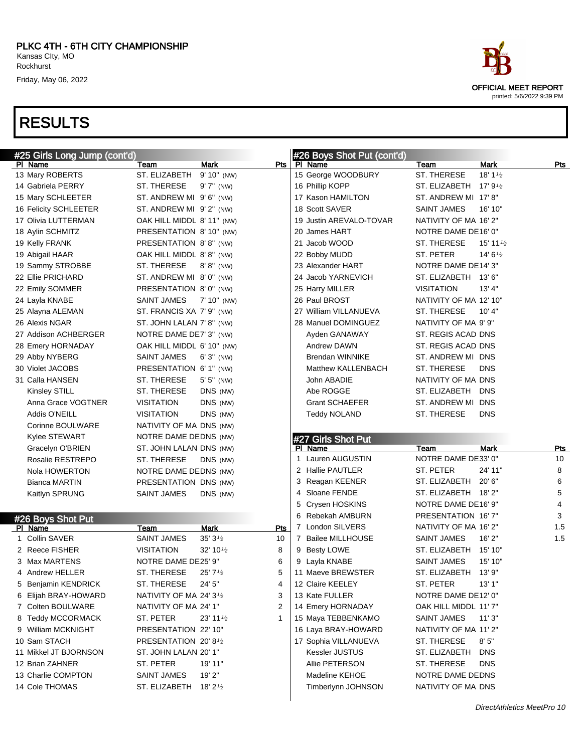| #25 Girls Long Jump (cont'd)         |                                      |                               |     | #26 Boys Shot Put (cont'd)           |                                                   |                      |  |
|--------------------------------------|--------------------------------------|-------------------------------|-----|--------------------------------------|---------------------------------------------------|----------------------|--|
| PI Name                              | Team                                 | <b>Mark</b>                   | Pts | PI Name                              | Team                                              | <b>Mark</b><br>Pts   |  |
| 13 Mary ROBERTS                      | ST. ELIZABETH                        | 9' 10" (NW)                   |     | 15 George WOODBURY                   | ST. THERESE                                       | 18' 1 $\frac{1}{2}$  |  |
| 14 Gabriela PERRY                    | ST. THERESE                          | $9'7''$ (NW)                  |     | 16 Phillip KOPP                      | ST. ELIZABETH $17'$ 9 <sup>1</sup> / <sub>2</sub> |                      |  |
| 15 Mary SCHLEETER                    | ST. ANDREW MI 9'6" (NW)              |                               |     | 17 Kason HAMILTON                    | ST. ANDREW MI 17' 8"                              |                      |  |
| 16 Felicity SCHLEETER                | ST. ANDREW MI 9'2" (NW)              |                               |     | 18 Scott SAVER                       | <b>SAINT JAMES</b>                                | 16' 10"              |  |
| 17 Olivia LUTTERMAN                  | OAK HILL MIDDL 8' 11" (NW)           |                               |     | 19 Justin AREVALO-TOVAR              | NATIVITY OF MA 16' 2"                             |                      |  |
| 18 Aylin SCHMITZ                     | PRESENTATION 8' 10" (NW)             |                               |     | 20 James HART                        | NOTRE DAME DE16' 0"                               |                      |  |
| 19 Kelly FRANK                       | PRESENTATION 8'8" (NW)               |                               |     | 21 Jacob WOOD                        | ST. THERESE                                       | 15' 11 $\frac{1}{2}$ |  |
| 19 Abigail HAAR                      | OAK HILL MIDDL 8'8" (NW)             |                               |     | 22 Bobby MUDD                        | ST. PETER                                         | $14' 6\frac{1}{2}$   |  |
| 19 Sammy STROBBE                     | ST. THERESE                          | $8' 8''$ (NW)                 |     | 23 Alexander HART                    | NOTRE DAME DE14'3"                                |                      |  |
| 22 Ellie PRICHARD                    | ST. ANDREW MI 8'0" (NW)              |                               |     | 24 Jacob YARNEVICH                   | ST. ELIZABETH 13' 6"                              |                      |  |
| 22 Emily SOMMER                      | PRESENTATION 8'0" (NW)               |                               |     | 25 Harry MILLER                      | <b>VISITATION</b>                                 | 13' 4"               |  |
| 24 Layla KNABE                       | SAINT JAMES                          | 7' 10" (NW)                   |     | 26 Paul BROST                        | NATIVITY OF MA 12' 10"                            |                      |  |
| 25 Alayna ALEMAN                     | ST. FRANCIS XA 7' 9" (NW)            |                               |     | 27 William VILLANUEVA                | ST. THERESE                                       | 10' 4"               |  |
| 26 Alexis NGAR                       | ST. JOHN LALAN 7' 8" (NW)            |                               |     | 28 Manuel DOMINGUEZ                  | NATIVITY OF MA 9' 9"                              |                      |  |
| 27 Addison ACHBERGER                 | NOTRE DAME DE7' 3" (NW)              |                               |     | Ayden GANAWAY                        | ST. REGIS ACAD DNS                                |                      |  |
| 28 Emery HORNADAY                    | OAK HILL MIDDL 6' 10" (NW)           |                               |     | <b>Andrew DAWN</b>                   | ST. REGIS ACAD DNS                                |                      |  |
| 29 Abby NYBERG                       | <b>SAINT JAMES</b>                   | $6'3''$ (NW)                  |     | <b>Brendan WINNIKE</b>               | ST. ANDREW MI DNS                                 |                      |  |
| 30 Violet JACOBS                     | PRESENTATION 6' 1" (NW)              |                               |     | Matthew KALLENBACH                   | ST. THERESE                                       | <b>DNS</b>           |  |
| 31 Calla HANSEN                      | ST. THERESE                          | $5'5''$ (NW)                  |     | John ABADIE                          | NATIVITY OF MA DNS                                |                      |  |
| Kinsley STILL                        | ST. THERESE                          | DNS (NW)                      |     | Abe ROGGE                            | ST. ELIZABETH                                     | <b>DNS</b>           |  |
| Anna Grace VOGTNER                   | <b>VISITATION</b>                    | DNS (NW)                      |     | <b>Grant SCHAEFER</b>                | ST. ANDREW MI DNS                                 |                      |  |
| Addis O'NEILL                        | <b>VISITATION</b>                    | DNS (NW)                      |     | <b>Teddy NOLAND</b>                  | ST. THERESE                                       | <b>DNS</b>           |  |
| Corinne BOULWARE                     | NATIVITY OF MA DNS (NW)              |                               |     |                                      |                                                   |                      |  |
| Kylee STEWART                        | NOTRE DAME DEDNS (NW)                |                               |     |                                      |                                                   |                      |  |
| Gracelyn O'BRIEN                     | ST. JOHN LALAN DNS (NW)              |                               |     | #27 Girls Shot Put<br>PI Name        | Team                                              | Mark<br><b>Pts</b>   |  |
| Rosalie RESTREPO                     | ST. THERESE                          | DNS (NW)                      |     | 1 Lauren AUGUSTIN                    | NOTRE DAME DE33' 0"                               | 10                   |  |
| Nola HOWERTON                        | NOTRE DAME DEDNS (NW)                |                               |     | 2 Hallie PAUTLER                     | ST. PETER                                         | 24' 11"<br>8         |  |
| <b>Bianca MARTIN</b>                 | PRESENTATION DNS (NW)                |                               |     | 3 Reagan KEENER                      | ST. ELIZABETH                                     | 20' 6"<br>6          |  |
| Kaitlyn SPRUNG                       | <b>SAINT JAMES</b>                   | DNS (NW)                      |     | 4 Sloane FENDE                       | ST. ELIZABETH                                     | 18' 2"<br>5          |  |
|                                      |                                      |                               |     | 5 Crysen HOSKINS                     | NOTRE DAME DE16' 9"                               | 4                    |  |
|                                      |                                      |                               |     | 6 Rebekah AMBURN                     | PRESENTATION 16' 7"                               | 3                    |  |
| #26 Boys Shot Put<br>PI Name         | Team                                 | <b>Mark</b>                   | Pts | 7 London SILVERS                     | NATIVITY OF MA 16' 2"                             | 1.5                  |  |
| 1 Collin SAVER                       | <b>SAINT JAMES</b>                   | $35'3\frac{1}{2}$             | 10  | 7 Bailee MILLHOUSE                   | <b>SAINT JAMES</b>                                | 16'2"<br>1.5         |  |
| 2 Reece FISHER                       | <b>VISITATION</b>                    | 32' 10 $\frac{1}{2}$          | 8   | 9 Besty LOWE                         | ST. ELIZABETH                                     | 15' 10"              |  |
| 3 Max MARTENS                        | NOTRE DAME DE25' 9"                  |                               | 6   | 9 Layla KNABE                        | <b>SAINT JAMES</b>                                | 15' 10"              |  |
| 4 Andrew HELLER                      | ST. THERESE                          | 25'7'' <sub>2</sub>           | 5   | 11 Maeve BREWSTER                    | ST. ELIZABETH 13' 9"                              |                      |  |
| 5 Benjamin KENDRICK                  | ST. THERESE                          | 24' 5"                        | 4   | 12 Claire KEELEY                     | ST. PETER                                         | 13'1"                |  |
|                                      | NATIVITY OF MA 24' 3 <sup>1</sup> /2 |                               | 3   | 13 Kate FULLER                       | NOTRE DAME DE12' 0"                               |                      |  |
| 6 Elijah BRAY-HOWARD                 | NATIVITY OF MA 24' 1"                |                               | 2   | 14 Emery HORNADAY                    |                                                   |                      |  |
| 7 Colten BOULWARE                    |                                      |                               | 1   | 15 Maya TEBBENKAMO                   | OAK HILL MIDDL 11'7"                              |                      |  |
| 8 Teddy MCCORMACK                    | ST. PETER                            | $23'$ 11 $\frac{1}{2}$        |     |                                      | SAINT JAMES                                       | 11'3"                |  |
| 9 William MCKNIGHT                   | PRESENTATION 22' 10"                 |                               |     | 16 Laya BRAY-HOWARD                  | NATIVITY OF MA 11'2"                              |                      |  |
| 10 Sam STACH                         | PRESENTATION 20'8 <sup>1</sup> /2    |                               |     | 17 Sophia VILLANUEVA                 | ST. THERESE                                       | 8'5''                |  |
| 11 Mikkel JT BJORNSON                | ST. JOHN LALAN 20' 1"                |                               |     | Kessler JUSTUS                       | ST. ELIZABETH                                     | <b>DNS</b>           |  |
| 12 Brian ZAHNER                      | ST. PETER                            | 19' 11"                       |     | Allie PETERSON                       | ST. THERESE                                       | <b>DNS</b>           |  |
|                                      |                                      |                               |     |                                      |                                                   |                      |  |
| 13 Charlie COMPTON<br>14 Cole THOMAS | SAINT JAMES<br>ST. ELIZABETH         | 19' 2"<br>18' 2 $\frac{1}{2}$ |     | Madeline KEHOE<br>Timberlynn JOHNSON | NOTRE DAME DEDNS<br>NATIVITY OF MA DNS            |                      |  |